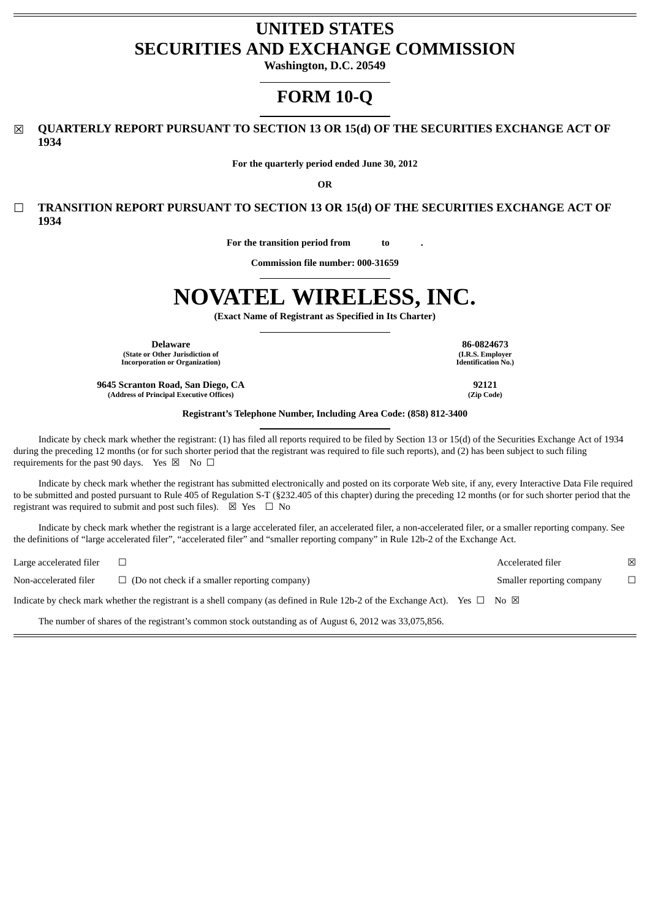# **UNITED STATES SECURITIES AND EXCHANGE COMMISSION**

**Washington, D.C. 20549**

# **FORM 10-Q**

☒ **QUARTERLY REPORT PURSUANT TO SECTION 13 OR 15(d) OF THE SECURITIES EXCHANGE ACT OF 1934**

**For the quarterly period ended June 30, 2012**

**OR**

☐ **TRANSITION REPORT PURSUANT TO SECTION 13 OR 15(d) OF THE SECURITIES EXCHANGE ACT OF 1934**

For the transition period from to

**Commission file number: 000-31659**

# **NOVATEL WIRELESS, INC.**

**(Exact Name of Registrant as Specified in Its Charter)**

**Delaware 86-0824673 (State or Other Jurisdiction of Incorporation or Organization)**

**9645 Scranton Road, San Diego, CA 92121 (Address of Principal Executive Offices) (Zip Code)**

**(I.R.S. Employer Identification No.)**

**Registrant's Telephone Number, Including Area Code: (858) 812-3400**

Indicate by check mark whether the registrant: (1) has filed all reports required to be filed by Section 13 or 15(d) of the Securities Exchange Act of 1934 during the preceding 12 months (or for such shorter period that the registrant was required to file such reports), and (2) has been subject to such filing requirements for the past 90 days. Yes  $\boxtimes$  No  $\Box$ 

Indicate by check mark whether the registrant has submitted electronically and posted on its corporate Web site, if any, every Interactive Data File required to be submitted and posted pursuant to Rule 405 of Regulation S-T (§232.405 of this chapter) during the preceding 12 months (or for such shorter period that the registrant was required to submit and post such files).  $\boxtimes$  Yes  $\Box$  No

Indicate by check mark whether the registrant is a large accelerated filer, an accelerated filer, a non-accelerated filer, or a smaller reporting company. See the definitions of "large accelerated filer", "accelerated filer" and "smaller reporting company" in Rule 12b-2 of the Exchange Act.

Large accelerated filer □  $□$ 

Non-accelerated filer □ (Do not check if a smaller reporting company) Smaller reporting company □

Indicate by check mark whether the registrant is a shell company (as defined in Rule 12b-2 of the Exchange Act). Yes  $\Box$  No  $\boxtimes$ 

The number of shares of the registrant's common stock outstanding as of August 6, 2012 was 33,075,856.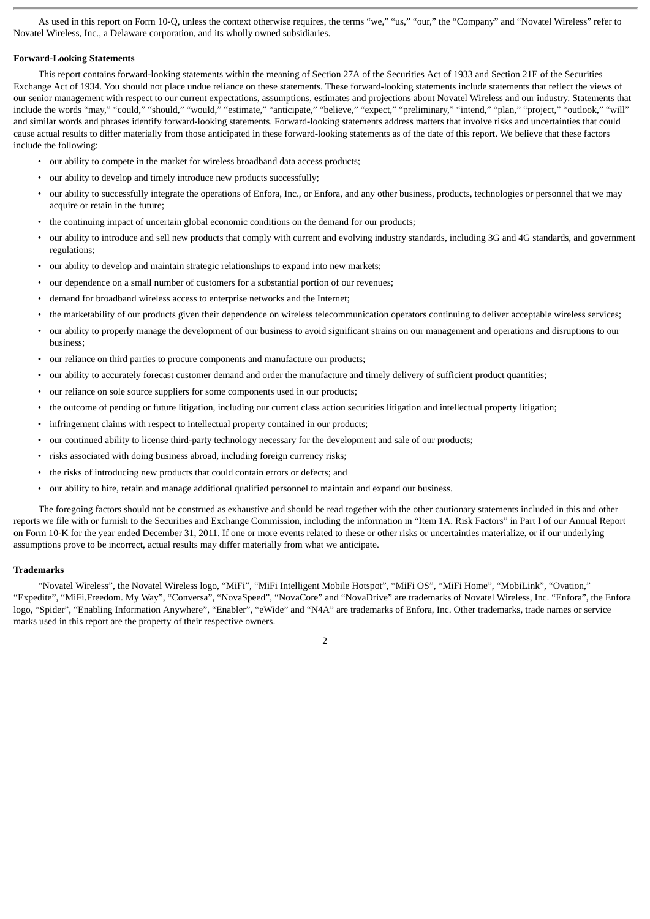As used in this report on Form 10-Q, unless the context otherwise requires, the terms "we," "us," "our," the "Company" and "Novatel Wireless" refer to Novatel Wireless, Inc., a Delaware corporation, and its wholly owned subsidiaries.

#### **Forward-Looking Statements**

This report contains forward-looking statements within the meaning of Section 27A of the Securities Act of 1933 and Section 21E of the Securities Exchange Act of 1934. You should not place undue reliance on these statements. These forward-looking statements include statements that reflect the views of our senior management with respect to our current expectations, assumptions, estimates and projections about Novatel Wireless and our industry. Statements that include the words "may," "could," "should," "would," "estimate," "anticipate," "believe," "expect," "preliminary," "intend," "plan," "project," "outlook," "will" and similar words and phrases identify forward-looking statements. Forward-looking statements address matters that involve risks and uncertainties that could cause actual results to differ materially from those anticipated in these forward-looking statements as of the date of this report. We believe that these factors include the following:

- our ability to compete in the market for wireless broadband data access products;
- our ability to develop and timely introduce new products successfully;
- our ability to successfully integrate the operations of Enfora, Inc., or Enfora, and any other business, products, technologies or personnel that we may acquire or retain in the future;
- the continuing impact of uncertain global economic conditions on the demand for our products;
- our ability to introduce and sell new products that comply with current and evolving industry standards, including 3G and 4G standards, and government regulations;
- our ability to develop and maintain strategic relationships to expand into new markets;
- our dependence on a small number of customers for a substantial portion of our revenues;
- demand for broadband wireless access to enterprise networks and the Internet;
- the marketability of our products given their dependence on wireless telecommunication operators continuing to deliver acceptable wireless services;
- our ability to properly manage the development of our business to avoid significant strains on our management and operations and disruptions to our business;
- our reliance on third parties to procure components and manufacture our products;
- our ability to accurately forecast customer demand and order the manufacture and timely delivery of sufficient product quantities;
- our reliance on sole source suppliers for some components used in our products;
- the outcome of pending or future litigation, including our current class action securities litigation and intellectual property litigation;
- infringement claims with respect to intellectual property contained in our products;
- our continued ability to license third-party technology necessary for the development and sale of our products;
- risks associated with doing business abroad, including foreign currency risks;
- the risks of introducing new products that could contain errors or defects; and
- our ability to hire, retain and manage additional qualified personnel to maintain and expand our business.

The foregoing factors should not be construed as exhaustive and should be read together with the other cautionary statements included in this and other reports we file with or furnish to the Securities and Exchange Commission, including the information in "Item 1A. Risk Factors" in Part I of our Annual Report on Form 10-K for the year ended December 31, 2011. If one or more events related to these or other risks or uncertainties materialize, or if our underlying assumptions prove to be incorrect, actual results may differ materially from what we anticipate.

#### **Trademarks**

"Novatel Wireless", the Novatel Wireless logo, "MiFi", "MiFi Intelligent Mobile Hotspot", "MiFi OS", "MiFi Home", "MobiLink", "Ovation," "Expedite", "MiFi.Freedom. My Way", "Conversa", "NovaSpeed", "NovaCore" and "NovaDrive" are trademarks of Novatel Wireless, Inc. "Enfora", the Enfora logo, "Spider", "Enabling Information Anywhere", "Enabler", "eWide" and "N4A" are trademarks of Enfora, Inc. Other trademarks, trade names or service marks used in this report are the property of their respective owners.

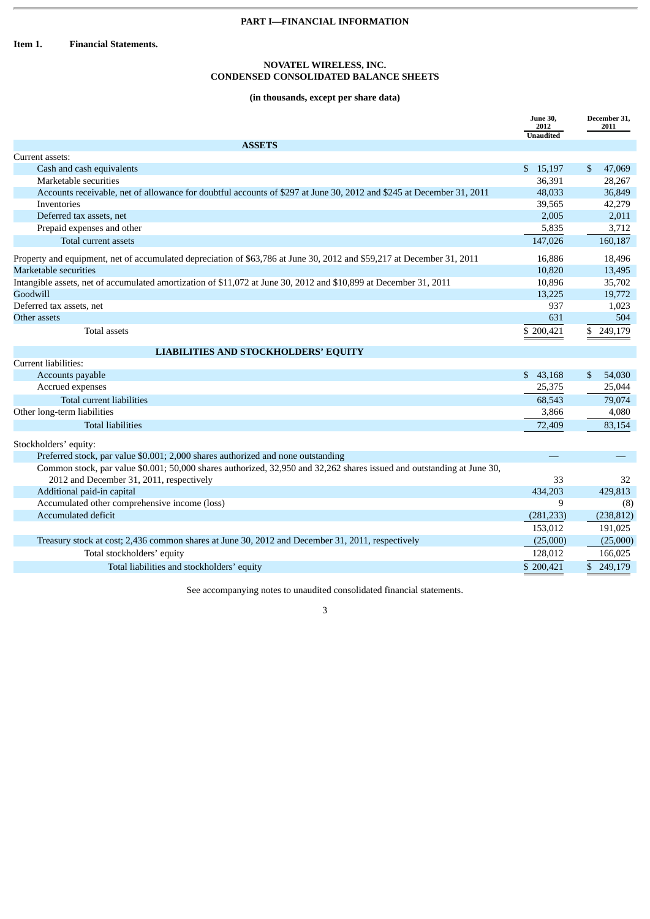# **PART I—FINANCIAL INFORMATION**

**Item 1. Financial Statements.**

# **NOVATEL WIRELESS, INC. CONDENSED CONSOLIDATED BALANCE SHEETS**

**(in thousands, except per share data)**

|                                                                                                                                            | <b>June 30,</b><br>2012 | December 31,<br>2011 |
|--------------------------------------------------------------------------------------------------------------------------------------------|-------------------------|----------------------|
|                                                                                                                                            | Unaudited               |                      |
| <b>ASSETS</b>                                                                                                                              |                         |                      |
| Current assets:                                                                                                                            |                         |                      |
| Cash and cash equivalents<br>Marketable securities                                                                                         | \$15,197                | 47,069<br>\$         |
|                                                                                                                                            | 36,391                  | 28,267               |
| Accounts receivable, net of allowance for doubtful accounts of \$297 at June 30, 2012 and \$245 at December 31, 2011<br><b>Inventories</b> | 48,033                  | 36,849               |
|                                                                                                                                            | 39,565                  | 42,279               |
| Deferred tax assets, net<br>Prepaid expenses and other                                                                                     | 2,005<br>5,835          | 2,011<br>3,712       |
|                                                                                                                                            |                         |                      |
| Total current assets                                                                                                                       | 147,026                 | 160,187              |
| Property and equipment, net of accumulated depreciation of \$63,786 at June 30, 2012 and \$59,217 at December 31, 2011                     | 16.886                  | 18,496               |
| Marketable securities                                                                                                                      | 10,820                  | 13,495               |
| Intangible assets, net of accumulated amortization of \$11,072 at June 30, 2012 and \$10,899 at December 31, 2011                          | 10,896                  | 35,702               |
| Goodwill                                                                                                                                   | 13,225                  | 19,772               |
| Deferred tax assets, net                                                                                                                   | 937                     | 1,023                |
| Other assets                                                                                                                               | 631                     | 504                  |
| <b>Total assets</b>                                                                                                                        | \$200,421               | \$249,179            |
| <b>LIABILITIES AND STOCKHOLDERS' EQUITY</b>                                                                                                |                         |                      |
| Current liabilities:                                                                                                                       |                         |                      |
| Accounts payable                                                                                                                           | \$43,168                | \$<br>54,030         |
| Accrued expenses                                                                                                                           | 25,375                  | 25,044               |
| Total current liabilities                                                                                                                  | 68,543                  | 79,074               |
| Other long-term liabilities                                                                                                                | 3,866                   | 4,080                |
| <b>Total liabilities</b>                                                                                                                   | 72,409                  | 83,154               |
| Stockholders' equity:                                                                                                                      |                         |                      |
| Preferred stock, par value \$0.001; 2,000 shares authorized and none outstanding                                                           |                         |                      |
| Common stock, par value \$0.001; 50,000 shares authorized, 32,950 and 32,262 shares issued and outstanding at June 30,                     |                         |                      |
| 2012 and December 31, 2011, respectively                                                                                                   | 33                      | 32                   |
| Additional paid-in capital                                                                                                                 | 434,203                 | 429.813              |
| Accumulated other comprehensive income (loss)                                                                                              | 9                       | (8)                  |
| <b>Accumulated deficit</b>                                                                                                                 | (281, 233)              | (238, 812)           |
|                                                                                                                                            | 153,012                 | 191,025              |
| Treasury stock at cost; 2,436 common shares at June 30, 2012 and December 31, 2011, respectively                                           | (25,000)                | (25,000)             |
| Total stockholders' equity                                                                                                                 | 128,012                 | 166,025              |
| Total liabilities and stockholders' equity                                                                                                 | \$200,421               | \$249,179            |
|                                                                                                                                            |                         |                      |

See accompanying notes to unaudited consolidated financial statements.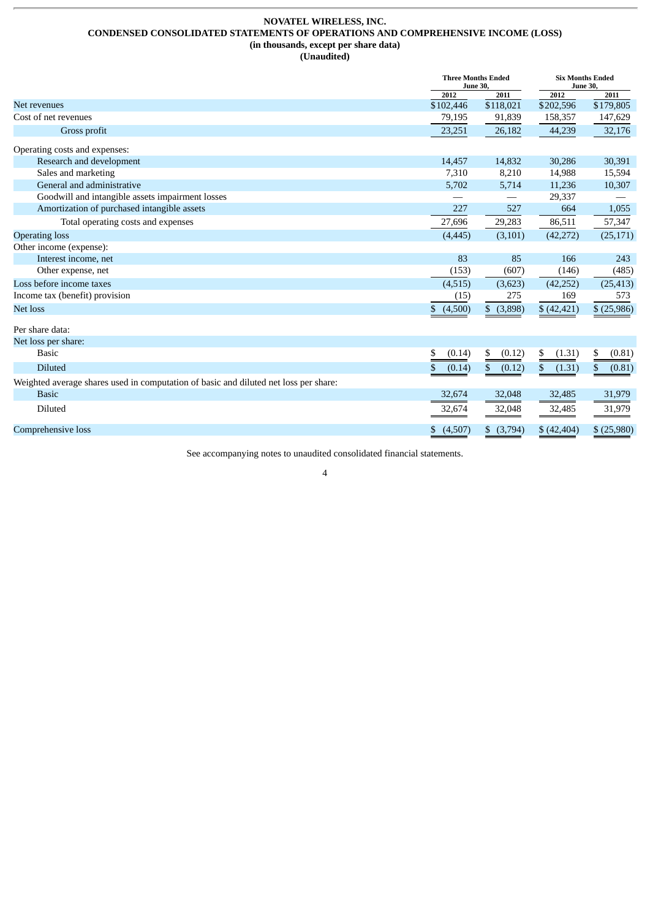# **NOVATEL WIRELESS, INC. CONDENSED CONSOLIDATED STATEMENTS OF OPERATIONS AND COMPREHENSIVE INCOME (LOSS) (in thousands, except per share data) (Unaudited)**

|                                                                                      | <b>Three Months Ended</b><br><b>June 30.</b> |              | <b>Six Months Ended</b><br><b>June 30.</b> |              |
|--------------------------------------------------------------------------------------|----------------------------------------------|--------------|--------------------------------------------|--------------|
|                                                                                      | 2012                                         | 2011         | 2012                                       | 2011         |
| Net revenues                                                                         | \$102,446                                    | \$118,021    | \$202,596                                  | \$179,805    |
| Cost of net revenues                                                                 | 79,195                                       | 91,839       | 158,357                                    | 147,629      |
| Gross profit                                                                         | 23,251                                       | 26,182       | 44,239                                     | 32,176       |
| Operating costs and expenses:                                                        |                                              |              |                                            |              |
| Research and development                                                             | 14,457                                       | 14,832       | 30,286                                     | 30,391       |
| Sales and marketing                                                                  | 7,310                                        | 8,210        | 14,988                                     | 15,594       |
| General and administrative                                                           | 5,702                                        | 5,714        | 11,236                                     | 10,307       |
| Goodwill and intangible assets impairment losses                                     |                                              |              | 29,337                                     |              |
| Amortization of purchased intangible assets                                          | 227                                          | 527          | 664                                        | 1,055        |
| Total operating costs and expenses                                                   | 27,696                                       | 29,283       | 86,511                                     | 57,347       |
| <b>Operating loss</b>                                                                | (4, 445)                                     | (3, 101)     | (42, 272)                                  | (25, 171)    |
| Other income (expense):                                                              |                                              |              |                                            |              |
| Interest income, net                                                                 | 83                                           | 85           | 166                                        | 243          |
| Other expense, net                                                                   | (153)                                        | (607)        | (146)                                      | (485)        |
| Loss before income taxes                                                             | (4,515)                                      | (3,623)      | (42, 252)                                  | (25, 413)    |
| Income tax (benefit) provision                                                       | (15)                                         | 275          | 169                                        | 573          |
| Net loss                                                                             | \$<br>(4,500)                                | $$$ (3,898)  | \$ (42, 421)                               | \$(25,986)   |
| Per share data:                                                                      |                                              |              |                                            |              |
| Net loss per share:                                                                  |                                              |              |                                            |              |
| <b>Basic</b>                                                                         | (0.14)<br>\$                                 | \$<br>(0.12) | \$<br>(1.31)                               | \$<br>(0.81) |
| <b>Diluted</b>                                                                       | \$<br>(0.14)                                 | \$<br>(0.12) | \$<br>(1.31)                               | \$<br>(0.81) |
| Weighted average shares used in computation of basic and diluted net loss per share: |                                              |              |                                            |              |
| <b>Basic</b>                                                                         | 32,674                                       | 32,048       | 32,485                                     | 31,979       |
| <b>Diluted</b>                                                                       | 32,674                                       | 32,048       | 32,485                                     | 31,979       |
| Comprehensive loss                                                                   | \$<br>(4,507)                                | \$ (3,794)   | \$ (42, 404)                               | \$(25,980)   |

See accompanying notes to unaudited consolidated financial statements.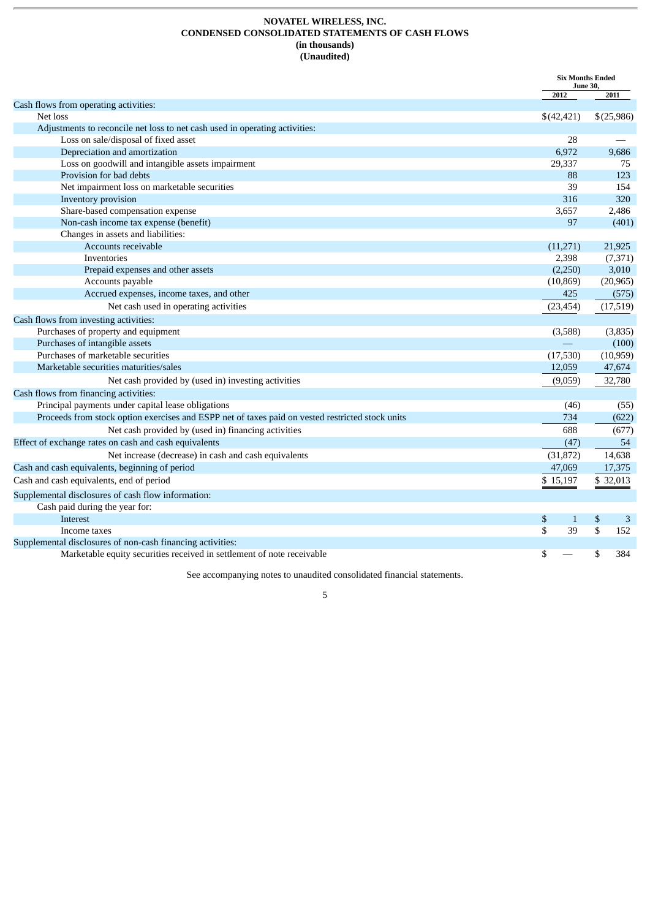## **NOVATEL WIRELESS, INC. CONDENSED CONSOLIDATED STATEMENTS OF CASH FLOWS (in thousands) (Unaudited)**

|                                                                                                  | <b>Six Months Ended</b><br><b>June 30,</b> |              |    |            |
|--------------------------------------------------------------------------------------------------|--------------------------------------------|--------------|----|------------|
|                                                                                                  |                                            | 2012         |    | 2011       |
| Cash flows from operating activities:                                                            |                                            |              |    |            |
| Net loss                                                                                         |                                            | \$(42,421)   |    | \$(25,986) |
| Adjustments to reconcile net loss to net cash used in operating activities:                      |                                            |              |    |            |
| Loss on sale/disposal of fixed asset                                                             |                                            | 28           |    |            |
| Depreciation and amortization                                                                    |                                            | 6.972        |    | 9,686      |
| Loss on goodwill and intangible assets impairment                                                |                                            | 29,337       |    | 75         |
| Provision for bad debts                                                                          |                                            | 88           |    | 123        |
| Net impairment loss on marketable securities                                                     |                                            | 39           |    | 154        |
| Inventory provision                                                                              |                                            | 316          |    | 320        |
| Share-based compensation expense                                                                 |                                            | 3,657        |    | 2,486      |
| Non-cash income tax expense (benefit)                                                            |                                            | 97           |    | (401)      |
| Changes in assets and liabilities:                                                               |                                            |              |    |            |
| Accounts receivable                                                                              |                                            | (11,271)     |    | 21,925     |
| Inventories                                                                                      |                                            | 2,398        |    | (7, 371)   |
| Prepaid expenses and other assets                                                                |                                            | (2,250)      |    | 3,010      |
| Accounts payable                                                                                 |                                            | (10, 869)    |    | (20, 965)  |
| Accrued expenses, income taxes, and other                                                        |                                            | 425          |    | (575)      |
| Net cash used in operating activities                                                            |                                            | (23, 454)    |    | (17, 519)  |
| Cash flows from investing activities:                                                            |                                            |              |    |            |
| Purchases of property and equipment                                                              |                                            | (3,588)      |    | (3,835)    |
| Purchases of intangible assets                                                                   |                                            |              |    | (100)      |
| Purchases of marketable securities                                                               |                                            | (17,530)     |    | (10, 959)  |
| Marketable securities maturities/sales                                                           |                                            | 12,059       |    | 47,674     |
| Net cash provided by (used in) investing activities                                              |                                            | (9,059)      |    | 32,780     |
| Cash flows from financing activities:                                                            |                                            |              |    |            |
| Principal payments under capital lease obligations                                               |                                            | (46)         |    | (55)       |
| Proceeds from stock option exercises and ESPP net of taxes paid on vested restricted stock units |                                            | 734          |    | (622)      |
| Net cash provided by (used in) financing activities                                              |                                            | 688          |    | (677)      |
| Effect of exchange rates on cash and cash equivalents                                            |                                            | (47)         |    | 54         |
| Net increase (decrease) in cash and cash equivalents                                             |                                            | (31, 872)    |    | 14,638     |
| Cash and cash equivalents, beginning of period                                                   |                                            | 47,069       |    | 17,375     |
| Cash and cash equivalents, end of period                                                         |                                            | \$15,197     |    | \$ 32,013  |
| Supplemental disclosures of cash flow information:                                               |                                            |              |    |            |
| Cash paid during the year for:                                                                   |                                            |              |    |            |
| Interest                                                                                         | \$                                         | $\mathbf{1}$ | \$ | 3          |
| Income taxes                                                                                     | \$                                         | 39           | \$ | 152        |
| Supplemental disclosures of non-cash financing activities:                                       |                                            |              |    |            |
| Marketable equity securities received in settlement of note receivable                           | \$                                         |              | \$ | 384        |

See accompanying notes to unaudited consolidated financial statements.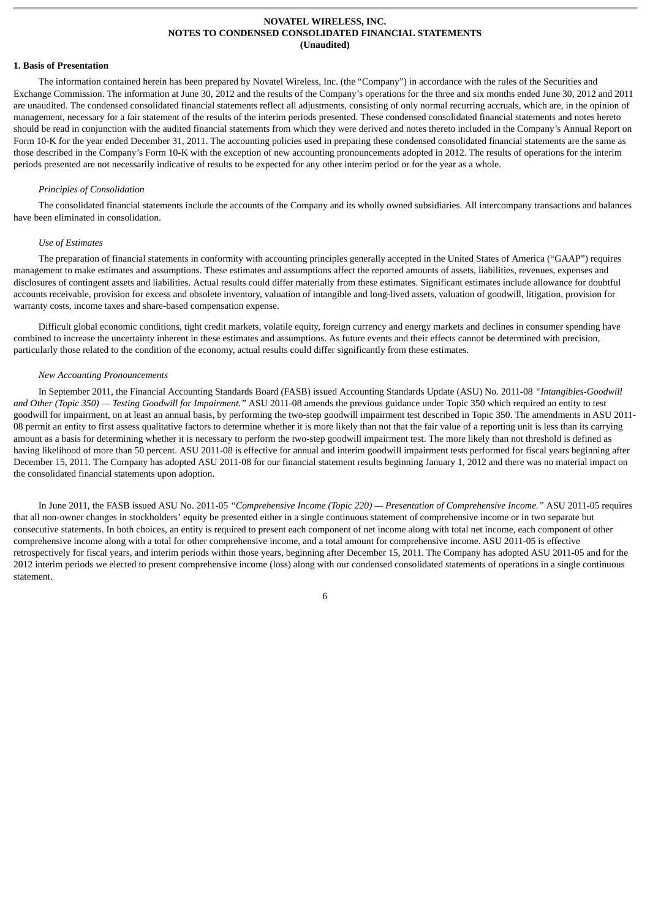### **NOVATEL WIRELESS, INC. NOTES TO CONDENSED CONSOLIDATED FINANCIAL STATEMENTS (Unaudited)**

# **1. Basis of Presentation**

The information contained herein has been prepared by Novatel Wireless, Inc. (the "Company") in accordance with the rules of the Securities and Exchange Commission. The information at June 30, 2012 and the results of the Company's operations for the three and six months ended June 30, 2012 and 2011 are unaudited. The condensed consolidated financial statements reflect all adjustments, consisting of only normal recurring accruals, which are, in the opinion of management, necessary for a fair statement of the results of the interim periods presented. These condensed consolidated financial statements and notes hereto should be read in conjunction with the audited financial statements from which they were derived and notes thereto included in the Company's Annual Report on Form 10-K for the year ended December 31, 2011. The accounting policies used in preparing these condensed consolidated financial statements are the same as those described in the Company's Form 10-K with the exception of new accounting pronouncements adopted in 2012. The results of operations for the interim periods presented are not necessarily indicative of results to be expected for any other interim period or for the year as a whole.

#### *Principles of Consolidation*

The consolidated financial statements include the accounts of the Company and its wholly owned subsidiaries. All intercompany transactions and balances have been eliminated in consolidation.

#### *Use of Estimates*

The preparation of financial statements in conformity with accounting principles generally accepted in the United States of America ("GAAP") requires management to make estimates and assumptions. These estimates and assumptions affect the reported amounts of assets, liabilities, revenues, expenses and disclosures of contingent assets and liabilities. Actual results could differ materially from these estimates. Significant estimates include allowance for doubtful accounts receivable, provision for excess and obsolete inventory, valuation of intangible and long-lived assets, valuation of goodwill, litigation, provision for warranty costs, income taxes and share-based compensation expense.

Difficult global economic conditions, tight credit markets, volatile equity, foreign currency and energy markets and declines in consumer spending have combined to increase the uncertainty inherent in these estimates and assumptions. As future events and their effects cannot be determined with precision, particularly those related to the condition of the economy, actual results could differ significantly from these estimates.

#### *New Accounting Pronouncements*

In September 2011, the Financial Accounting Standards Board (FASB) issued Accounting Standards Update (ASU) No. 2011-08 *"Intangibles-Goodwill and Other (Topic 350) — Testing Goodwill for Impairment."* ASU 2011-08 amends the previous guidance under Topic 350 which required an entity to test goodwill for impairment, on at least an annual basis, by performing the two-step goodwill impairment test described in Topic 350. The amendments in ASU 2011- 08 permit an entity to first assess qualitative factors to determine whether it is more likely than not that the fair value of a reporting unit is less than its carrying amount as a basis for determining whether it is necessary to perform the two-step goodwill impairment test. The more likely than not threshold is defined as having likelihood of more than 50 percent. ASU 2011-08 is effective for annual and interim goodwill impairment tests performed for fiscal years beginning after December 15, 2011. The Company has adopted ASU 2011-08 for our financial statement results beginning January 1, 2012 and there was no material impact on the consolidated financial statements upon adoption.

In June 2011, the FASB issued ASU No. 2011-05 *"Comprehensive Income (Topic 220) — Presentation of Comprehensive Income."* ASU 2011-05 requires that all non-owner changes in stockholders' equity be presented either in a single continuous statement of comprehensive income or in two separate but consecutive statements. In both choices, an entity is required to present each component of net income along with total net income, each component of other comprehensive income along with a total for other comprehensive income, and a total amount for comprehensive income. ASU 2011-05 is effective retrospectively for fiscal years, and interim periods within those years, beginning after December 15, 2011. The Company has adopted ASU 2011-05 and for the 2012 interim periods we elected to present comprehensive income (loss) along with our condensed consolidated statements of operations in a single continuous statement.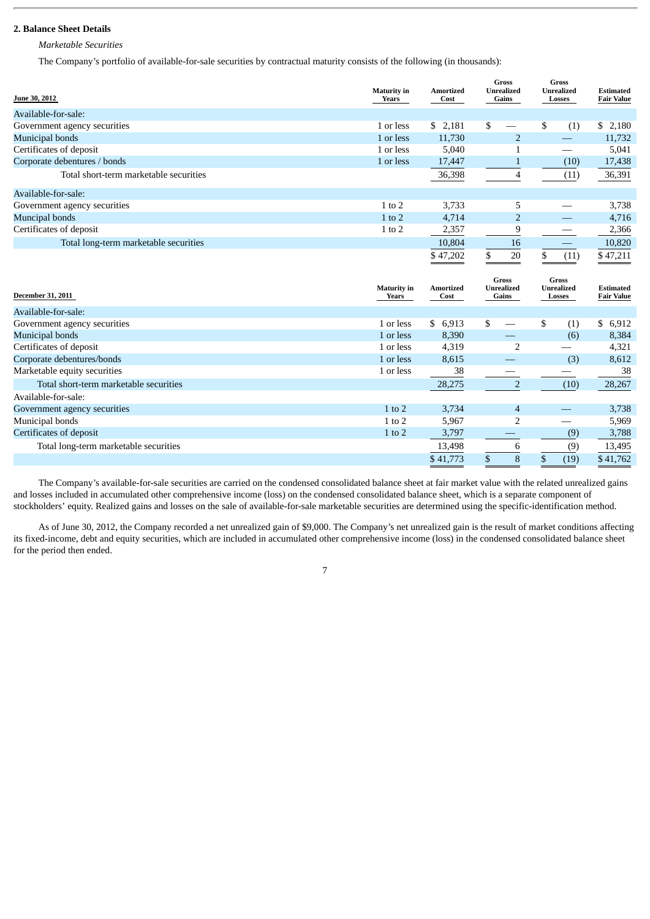## **2. Balance Sheet Details**

*Marketable Securities*

The Company's portfolio of available-for-sale securities by contractual maturity consists of the following (in thousands):

| June 30, 2012                          | <b>Maturity</b> in<br>Years        | <b>Amortized</b><br>Cost | Gross<br><b>Unrealized</b><br>Gains        | Gross<br><b>Unrealized</b><br><b>Losses</b> | <b>Estimated</b><br><b>Fair Value</b> |
|----------------------------------------|------------------------------------|--------------------------|--------------------------------------------|---------------------------------------------|---------------------------------------|
| Available-for-sale:                    |                                    |                          |                                            |                                             |                                       |
| Government agency securities           | 1 or less                          | \$2,181                  | \$                                         | \$<br>(1)                                   | \$2,180                               |
| Municipal bonds                        | 1 or less                          | 11,730                   | $\overline{2}$                             |                                             | 11,732                                |
| Certificates of deposit                | 1 or less                          | 5,040                    | $\mathbf{1}$                               | $\overline{\phantom{0}}$                    | 5,041                                 |
| Corporate debentures / bonds           | 1 or less                          | 17,447                   | $\mathbf{1}$                               | (10)                                        | 17,438                                |
| Total short-term marketable securities |                                    | 36,398                   | 4                                          | (11)                                        | 36,391                                |
| Available-for-sale:                    |                                    |                          |                                            |                                             |                                       |
| Government agency securities           | $1$ to $2$                         | 3,733                    | 5                                          |                                             | 3,738                                 |
| Muncipal bonds                         | $1$ to $2$                         | 4,714                    | $\overline{2}$                             |                                             | 4,716                                 |
| Certificates of deposit                | $1$ to $2$                         | 2,357                    | 9                                          |                                             | 2,366                                 |
| Total long-term marketable securities  |                                    | 10,804                   | 16                                         |                                             | 10,820                                |
|                                        |                                    | \$47,202                 | 20<br>\$                                   | \$<br>(11)                                  | \$47,211                              |
|                                        |                                    |                          |                                            |                                             |                                       |
| <b>December 31, 2011</b>               | <b>Maturity</b> in<br><b>Years</b> | Amortized<br>Cost        | <b>Gross</b><br><b>Unrealized</b><br>Gains | <b>Gross</b><br>Unrealized<br>Losses        | <b>Estimated</b><br><b>Fair Value</b> |
| Available-for-sale:                    |                                    |                          |                                            |                                             |                                       |
| Government agency securities           | 1 or less                          | \$6,913                  | \$                                         | \$<br>(1)                                   | \$6,912                               |
| Municipal bonds                        | 1 or less                          | 8,390                    |                                            | (6)                                         | 8,384                                 |
| Certificates of deposit                | 1 or less                          | 4,319                    | $\overline{2}$                             |                                             | 4,321                                 |
| Corporate debentures/bonds             | 1 or less                          | 8,615                    |                                            | (3)                                         | 8,612                                 |
| Marketable equity securities           | 1 or less                          | 38                       |                                            |                                             | 38                                    |
| Total short-term marketable securities |                                    | 28,275                   | $\overline{2}$                             | (10)                                        | 28,267                                |
| Available-for-sale:                    |                                    |                          |                                            |                                             |                                       |
| Government agency securities           | $1$ to $2$                         | 3,734                    | $\overline{4}$                             |                                             | 3,738                                 |
| Municipal bonds                        | 1 to 2                             | 5,967                    | $\overline{2}$                             |                                             | 5,969                                 |
| Certificates of deposit                | $1$ to $2$                         | 3,797                    |                                            | (9)                                         | 3,788                                 |
| Total long-term marketable securities  |                                    | 13,498                   | 6                                          | (9)                                         | 13,495                                |

The Company's available-for-sale securities are carried on the condensed consolidated balance sheet at fair market value with the related unrealized gains and losses included in accumulated other comprehensive income (loss) on the condensed consolidated balance sheet, which is a separate component of stockholders' equity. Realized gains and losses on the sale of available-for-sale marketable securities are determined using the specific-identification method.

As of June 30, 2012, the Company recorded a net unrealized gain of \$9,000. The Company's net unrealized gain is the result of market conditions affecting its fixed-income, debt and equity securities, which are included in accumulated other comprehensive income (loss) in the condensed consolidated balance sheet for the period then ended.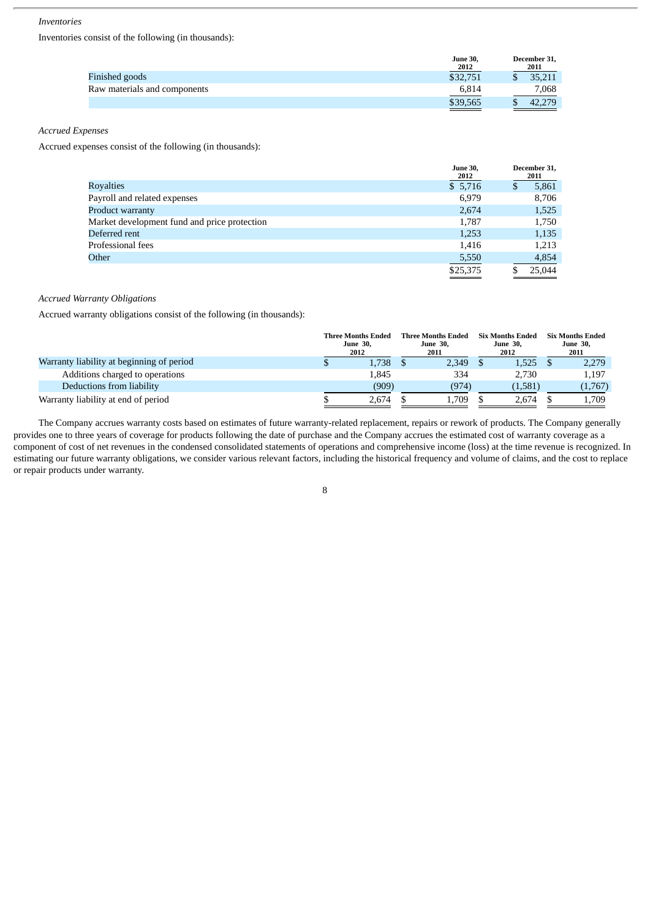# *Inventories*

Inventories consist of the following (in thousands):

|                              | <b>June 30,</b><br>2012 | December 31,<br>2011 |
|------------------------------|-------------------------|----------------------|
| Finished goods               | \$32,751                | 35,211               |
| Raw materials and components | 6,814                   | 7.068                |
|                              | \$39,565                | 42,279               |

# *Accrued Expenses*

Accrued expenses consist of the following (in thousands):

|                                              | <b>June 30,</b><br>2012 | December 31,<br>2011 |
|----------------------------------------------|-------------------------|----------------------|
| <b>Royalties</b>                             | \$5,716                 | \$<br>5,861          |
| Payroll and related expenses                 | 6,979                   | 8,706                |
| Product warranty                             | 2,674                   | 1,525                |
| Market development fund and price protection | 1,787                   | 1,750                |
| Deferred rent                                | 1,253                   | 1,135                |
| Professional fees                            | 1,416                   | 1,213                |
| Other                                        | 5,550                   | 4,854                |
|                                              | \$25,375                | 25.044               |

#### *Accrued Warranty Obligations*

Accrued warranty obligations consist of the following (in thousands):

|                                           | <b>Three Months Ended</b><br><b>June 30,</b><br>2012 |       | <b>Three Months Ended</b><br><b>June 30,</b><br>2011 | <b>Six Months Ended</b><br><b>June 30,</b><br>2012 | <b>Six Months Ended</b><br><b>June 30,</b><br>2011 |
|-------------------------------------------|------------------------------------------------------|-------|------------------------------------------------------|----------------------------------------------------|----------------------------------------------------|
| Warranty liability at beginning of period |                                                      | 1,738 | 2,349                                                | 1,525                                              | 2,279                                              |
| Additions charged to operations           |                                                      | 1,845 | 334                                                  | 2.730                                              | 1,197                                              |
| Deductions from liability                 |                                                      | (909) | (974)                                                | (1,581)                                            | (1,767)                                            |
| Warranty liability at end of period       |                                                      | 2.674 | 1,709                                                | 2.674                                              | 1,709                                              |

The Company accrues warranty costs based on estimates of future warranty-related replacement, repairs or rework of products. The Company generally provides one to three years of coverage for products following the date of purchase and the Company accrues the estimated cost of warranty coverage as a component of cost of net revenues in the condensed consolidated statements of operations and comprehensive income (loss) at the time revenue is recognized. In estimating our future warranty obligations, we consider various relevant factors, including the historical frequency and volume of claims, and the cost to replace or repair products under warranty.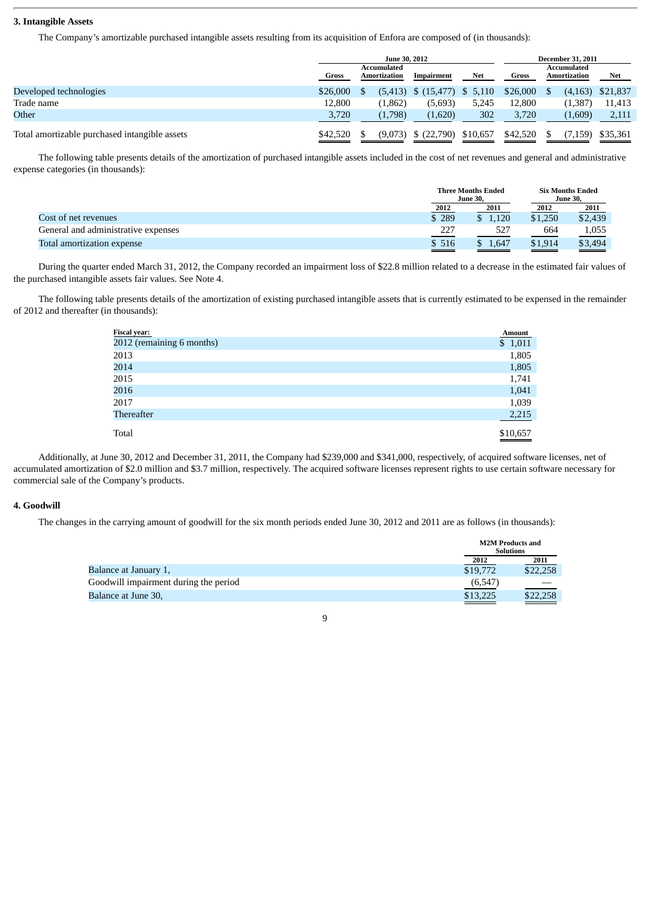# **3. Intangible Assets**

The Company's amortizable purchased intangible assets resulting from its acquisition of Enfora are composed of (in thousands):

|                                               |          | June 30, 2012 |                             |                                  |          | <b>December 31, 2011</b> |  |                                    |          |
|-----------------------------------------------|----------|---------------|-----------------------------|----------------------------------|----------|--------------------------|--|------------------------------------|----------|
|                                               | Gross    |               | Accumulated<br>Amortization | Impairment                       | Net      | Gross                    |  | Accumulated<br><b>Amortization</b> | Net      |
| Developed technologies                        | \$26,000 |               |                             | $(5,413)$ \$ $(15,477)$ \$ 5,110 |          | \$26,000                 |  | (4, 163)                           | \$21,837 |
| Trade name                                    | 12,800   |               | (1,862)                     | (5,693)                          | 5,245    | 12,800                   |  | (1, 387)                           | 11,413   |
| Other                                         | 3,720    |               | (1,798)                     | (1,620)                          | 302      | 3,720                    |  | (1,609)                            | 2,111    |
| Total amortizable purchased intangible assets | \$42,520 |               | (9,073)                     | (22,790)                         | \$10,657 | \$42,520                 |  | (7.159)                            | \$35,361 |

The following table presents details of the amortization of purchased intangible assets included in the cost of net revenues and general and administrative expense categories (in thousands):

|                                     |                                                | <b>Three Months Ended</b><br><b>June 30.</b> |         | <b>Six Months Ended</b><br><b>June 30.</b>                                                                                        |  |  |
|-------------------------------------|------------------------------------------------|----------------------------------------------|---------|-----------------------------------------------------------------------------------------------------------------------------------|--|--|
|                                     | 2012                                           | 2011                                         | 2012    | <b>2011</b>                                                                                                                       |  |  |
| Cost of net revenues                | \$289                                          | 1.120                                        | \$1,250 | \$2,439                                                                                                                           |  |  |
| General and administrative expenses | 227                                            | 527                                          | 664     | 1,055                                                                                                                             |  |  |
| Total amortization expense          | \$516<br><u> a shekara ta 1989 a shekara t</u> | 1,647<br>————                                | \$1,914 | \$3,494<br><u> a shi ne a shekara ta 1989 a shekara ta 1989 a shekara ta 1989 a shekara ta 1989 a shekara ta 1989 a shekara t</u> |  |  |

During the quarter ended March 31, 2012, the Company recorded an impairment loss of \$22.8 million related to a decrease in the estimated fair values of the purchased intangible assets fair values. See Note 4.

The following table presents details of the amortization of existing purchased intangible assets that is currently estimated to be expensed in the remainder of 2012 and thereafter (in thousands):

| <b>Fiscal year:</b>       | <b>Amount</b> |
|---------------------------|---------------|
| 2012 (remaining 6 months) | \$1,011       |
| 2013                      | 1,805         |
| 2014                      | 1,805         |
| 2015                      | 1,741         |
| 2016                      | 1,041         |
| 2017                      | 1,039         |
| <b>Thereafter</b>         | 2,215         |
| Total                     | \$10,657      |

Additionally, at June 30, 2012 and December 31, 2011, the Company had \$239,000 and \$341,000, respectively, of acquired software licenses, net of accumulated amortization of \$2.0 million and \$3.7 million, respectively. The acquired software licenses represent rights to use certain software necessary for commercial sale of the Company's products.

# **4. Goodwill**

The changes in the carrying amount of goodwill for the six month periods ended June 30, 2012 and 2011 are as follows (in thousands):

| <b>M2M Products and</b><br><b>Solutions</b> |          |
|---------------------------------------------|----------|
| 2012                                        | 2011     |
| \$19,772                                    | \$22,258 |
| (6,547)                                     |          |
| \$13,225                                    | \$22,258 |
|                                             |          |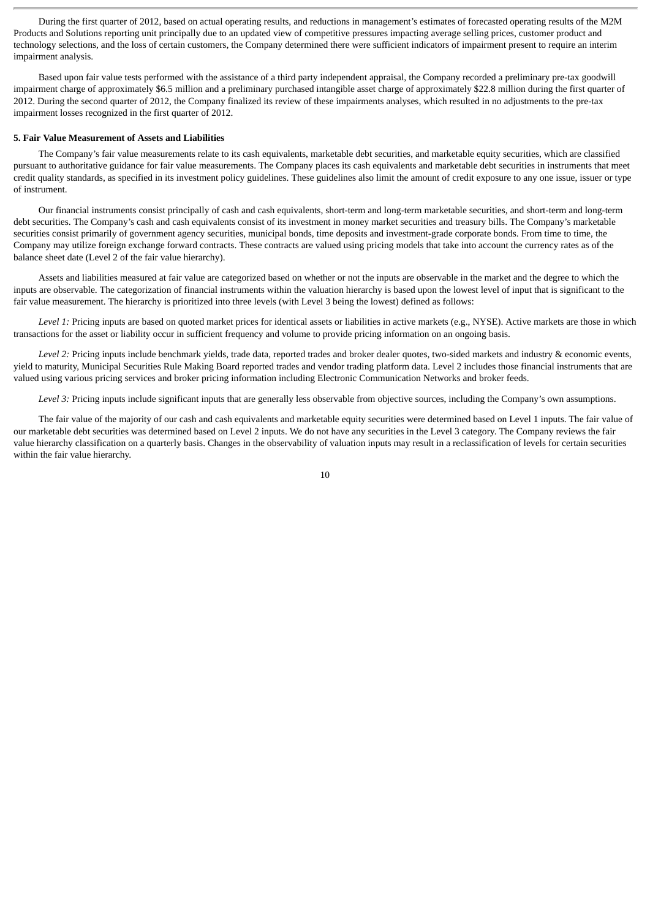During the first quarter of 2012, based on actual operating results, and reductions in management's estimates of forecasted operating results of the M2M Products and Solutions reporting unit principally due to an updated view of competitive pressures impacting average selling prices, customer product and technology selections, and the loss of certain customers, the Company determined there were sufficient indicators of impairment present to require an interim impairment analysis.

Based upon fair value tests performed with the assistance of a third party independent appraisal, the Company recorded a preliminary pre-tax goodwill impairment charge of approximately \$6.5 million and a preliminary purchased intangible asset charge of approximately \$22.8 million during the first quarter of 2012. During the second quarter of 2012, the Company finalized its review of these impairments analyses, which resulted in no adjustments to the pre-tax impairment losses recognized in the first quarter of 2012.

### **5. Fair Value Measurement of Assets and Liabilities**

The Company's fair value measurements relate to its cash equivalents, marketable debt securities, and marketable equity securities, which are classified pursuant to authoritative guidance for fair value measurements. The Company places its cash equivalents and marketable debt securities in instruments that meet credit quality standards, as specified in its investment policy guidelines. These guidelines also limit the amount of credit exposure to any one issue, issuer or type of instrument.

Our financial instruments consist principally of cash and cash equivalents, short-term and long-term marketable securities, and short-term and long-term debt securities. The Company's cash and cash equivalents consist of its investment in money market securities and treasury bills. The Company's marketable securities consist primarily of government agency securities, municipal bonds, time deposits and investment-grade corporate bonds. From time to time, the Company may utilize foreign exchange forward contracts. These contracts are valued using pricing models that take into account the currency rates as of the balance sheet date (Level 2 of the fair value hierarchy).

Assets and liabilities measured at fair value are categorized based on whether or not the inputs are observable in the market and the degree to which the inputs are observable. The categorization of financial instruments within the valuation hierarchy is based upon the lowest level of input that is significant to the fair value measurement. The hierarchy is prioritized into three levels (with Level 3 being the lowest) defined as follows:

Level 1: Pricing inputs are based on quoted market prices for identical assets or liabilities in active markets (e.g., NYSE). Active markets are those in which transactions for the asset or liability occur in sufficient frequency and volume to provide pricing information on an ongoing basis.

*Level 2:* Pricing inputs include benchmark yields, trade data, reported trades and broker dealer quotes, two-sided markets and industry & economic events, yield to maturity, Municipal Securities Rule Making Board reported trades and vendor trading platform data. Level 2 includes those financial instruments that are valued using various pricing services and broker pricing information including Electronic Communication Networks and broker feeds.

*Level 3:* Pricing inputs include significant inputs that are generally less observable from objective sources, including the Company's own assumptions.

The fair value of the majority of our cash and cash equivalents and marketable equity securities were determined based on Level 1 inputs. The fair value of our marketable debt securities was determined based on Level 2 inputs. We do not have any securities in the Level 3 category. The Company reviews the fair value hierarchy classification on a quarterly basis. Changes in the observability of valuation inputs may result in a reclassification of levels for certain securities within the fair value hierarchy.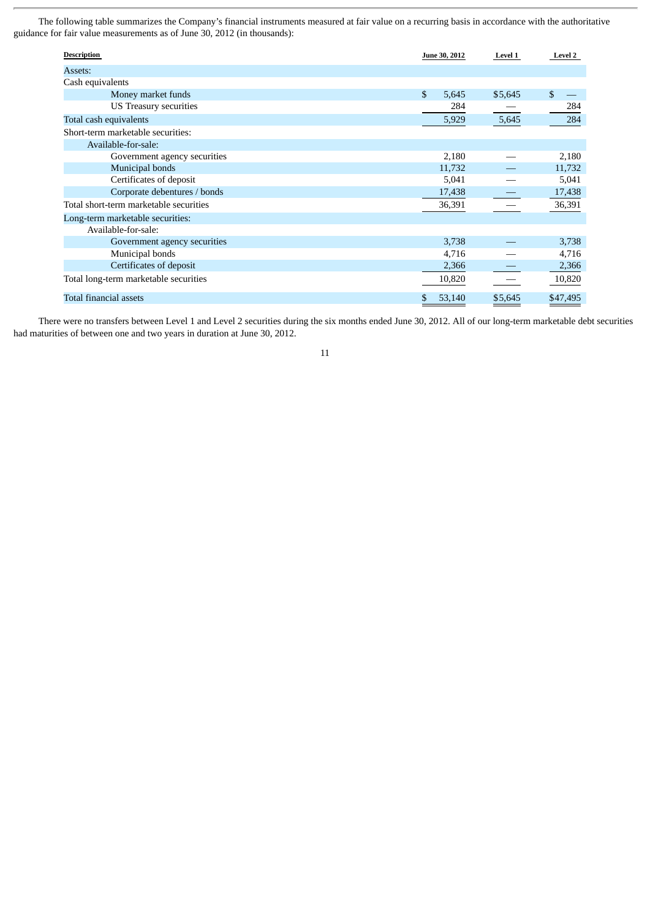The following table summarizes the Company's financial instruments measured at fair value on a recurring basis in accordance with the authoritative guidance for fair value measurements as of June 30, 2012 (in thousands):

| <b>Description</b>                     | June 30, 2012 | <b>Level 1</b> | <b>Level 2</b> |
|----------------------------------------|---------------|----------------|----------------|
| Assets:                                |               |                |                |
| Cash equivalents                       |               |                |                |
| Money market funds                     | \$<br>5,645   | \$5,645        | \$             |
| <b>US Treasury securities</b>          | 284           |                | 284            |
| Total cash equivalents                 | 5,929         | 5,645          | 284            |
| Short-term marketable securities:      |               |                |                |
| Available-for-sale:                    |               |                |                |
| Government agency securities           | 2,180         |                | 2,180          |
| Municipal bonds                        | 11,732        |                | 11,732         |
| Certificates of deposit                | 5,041         |                | 5,041          |
| Corporate debentures / bonds           | 17,438        |                | 17,438         |
| Total short-term marketable securities | 36,391        |                | 36,391         |
| Long-term marketable securities:       |               |                |                |
| Available-for-sale:                    |               |                |                |
| Government agency securities           | 3,738         |                | 3,738          |
| Municipal bonds                        | 4,716         |                | 4,716          |
| Certificates of deposit                | 2,366         |                | 2,366          |
| Total long-term marketable securities  | 10,820        |                | 10,820         |
| Total financial assets                 | 53,140        | \$5,645        | \$47,495       |

There were no transfers between Level 1 and Level 2 securities during the six months ended June 30, 2012. All of our long-term marketable debt securities had maturities of between one and two years in duration at June 30, 2012.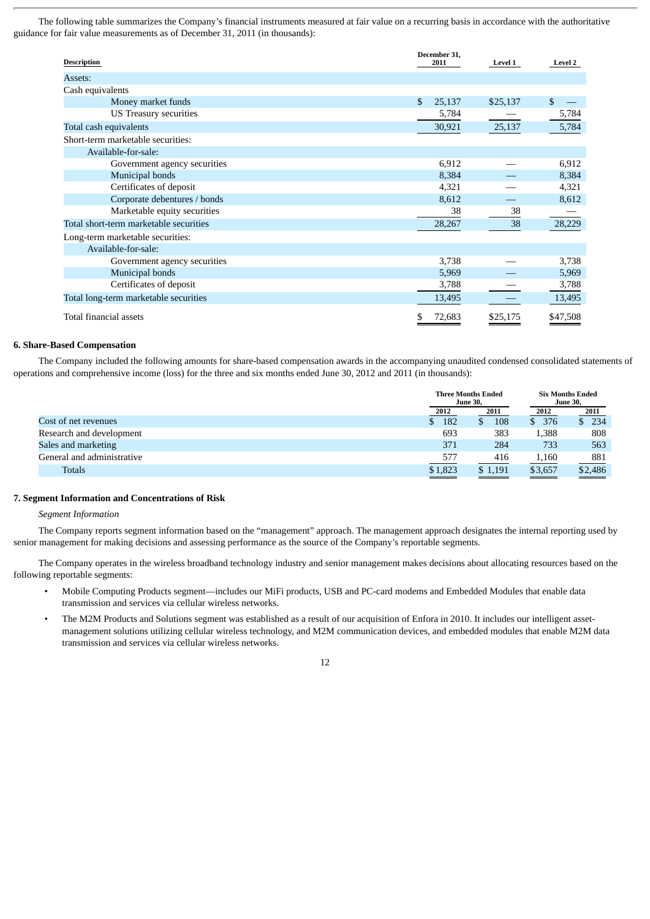The following table summarizes the Company's financial instruments measured at fair value on a recurring basis in accordance with the authoritative guidance for fair value measurements as of December 31, 2011 (in thousands):

| <b>Description</b>                     |    | December 31,<br>2011 | <b>Level 1</b> | <b>Level 2</b> |
|----------------------------------------|----|----------------------|----------------|----------------|
| Assets:                                |    |                      |                |                |
| Cash equivalents                       |    |                      |                |                |
| Money market funds                     | \$ | 25,137               | \$25,137       | \$             |
| <b>US Treasury securities</b>          |    | 5,784                |                | 5,784          |
| Total cash equivalents                 |    | 30,921               | 25,137         | 5,784          |
| Short-term marketable securities:      |    |                      |                |                |
| Available-for-sale:                    |    |                      |                |                |
| Government agency securities           |    | 6,912                |                | 6,912          |
| Municipal bonds                        |    | 8,384                |                | 8,384          |
| Certificates of deposit                |    | 4,321                |                | 4,321          |
| Corporate debentures / bonds           |    | 8,612                |                | 8,612          |
| Marketable equity securities           |    | 38                   | 38             |                |
| Total short-term marketable securities |    | 28,267               | 38             | 28,229         |
| Long-term marketable securities:       |    |                      |                |                |
| Available-for-sale:                    |    |                      |                |                |
| Government agency securities           |    | 3,738                |                | 3,738          |
| Municipal bonds                        |    | 5,969                |                | 5,969          |
| Certificates of deposit                |    | 3,788                |                | 3,788          |
| Total long-term marketable securities  |    | 13,495               |                | 13,495         |
| Total financial assets                 | S  | 72,683               | \$25,175       | \$47,508       |

# **6. Share-Based Compensation**

The Company included the following amounts for share-based compensation awards in the accompanying unaudited condensed consolidated statements of operations and comprehensive income (loss) for the three and six months ended June 30, 2012 and 2011 (in thousands):

|                            |           | <b>Three Months Ended</b><br><b>June 30.</b> | <b>Six Months Ended</b><br><b>June 30,</b> |         |  |
|----------------------------|-----------|----------------------------------------------|--------------------------------------------|---------|--|
|                            | 2012      | 2011                                         | 2012                                       | 2011    |  |
| Cost of net revenues       | 182<br>S. | 108                                          | \$376                                      | \$234   |  |
| Research and development   | 693       | 383                                          | 1,388                                      | 808     |  |
| Sales and marketing        | 371       | 284                                          | 733                                        | 563     |  |
| General and administrative | 577       | 416                                          | 1,160                                      | 881     |  |
| <b>Totals</b>              | \$1,823   | \$1,191                                      | \$3,657                                    | \$2,486 |  |

# **7. Segment Information and Concentrations of Risk**

*Segment Information*

The Company reports segment information based on the "management" approach. The management approach designates the internal reporting used by senior management for making decisions and assessing performance as the source of the Company's reportable segments.

The Company operates in the wireless broadband technology industry and senior management makes decisions about allocating resources based on the following reportable segments:

- Mobile Computing Products segment—includes our MiFi products, USB and PC-card modems and Embedded Modules that enable data transmission and services via cellular wireless networks.
- The M2M Products and Solutions segment was established as a result of our acquisition of Enfora in 2010. It includes our intelligent assetmanagement solutions utilizing cellular wireless technology, and M2M communication devices, and embedded modules that enable M2M data transmission and services via cellular wireless networks.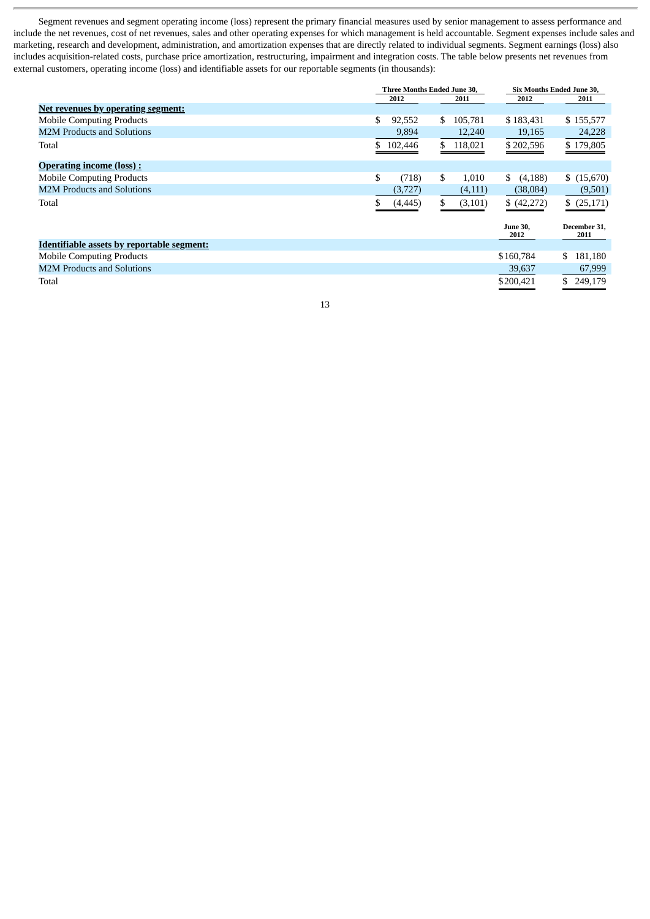Segment revenues and segment operating income (loss) represent the primary financial measures used by senior management to assess performance and include the net revenues, cost of net revenues, sales and other operating expenses for which management is held accountable. Segment expenses include sales and marketing, research and development, administration, and amortization expenses that are directly related to individual segments. Segment earnings (loss) also includes acquisition-related costs, purchase price amortization, restructuring, impairment and integration costs. The table below presents net revenues from external customers, operating income (loss) and identifiable assets for our reportable segments (in thousands):

|                                            | Three Months Ended June 30, |          |              | Six Months Ended June 30, |                  |     |                      |
|--------------------------------------------|-----------------------------|----------|--------------|---------------------------|------------------|-----|----------------------|
|                                            |                             | 2012     |              | 2011                      | 2012             |     | 2011                 |
| <b>Net revenues by operating segment:</b>  |                             |          |              |                           |                  |     |                      |
| <b>Mobile Computing Products</b>           | \$                          | 92,552   | S.           | 105,781                   | \$183,431        |     | \$155,577            |
| <b>M2M Products and Solutions</b>          |                             | 9,894    |              | 12,240                    | 19,165           |     | 24,228               |
| Total                                      | S.                          | 102,446  | $\mathbb{S}$ | 118,021                   | \$202,596        |     | \$179,805            |
| <b>Operating income (loss):</b>            |                             |          |              |                           |                  |     |                      |
| <b>Mobile Computing Products</b>           | \$                          | (718)    | \$           | 1,010                     | \$<br>(4, 188)   |     | \$(15,670)           |
| <b>M2M Products and Solutions</b>          |                             | (3,727)  |              | (4, 111)                  | (38,084)         |     | (9,501)              |
| Total                                      |                             | (4, 445) | \$           | (3, 101)                  | \$ (42,272)      |     | \$(25,171)           |
|                                            |                             |          |              |                           | June 30,<br>2012 |     | December 31,<br>2011 |
| Identifiable assets by reportable segment: |                             |          |              |                           |                  |     |                      |
| <b>Mobile Computing Products</b>           |                             |          |              |                           | \$160,784        | \$. | 181,180              |
| <b>M2M Products and Solutions</b>          |                             |          |              |                           | 39,637           |     | 67,999               |
| Total                                      |                             |          |              |                           | \$200.421        | \$  | 249,179              |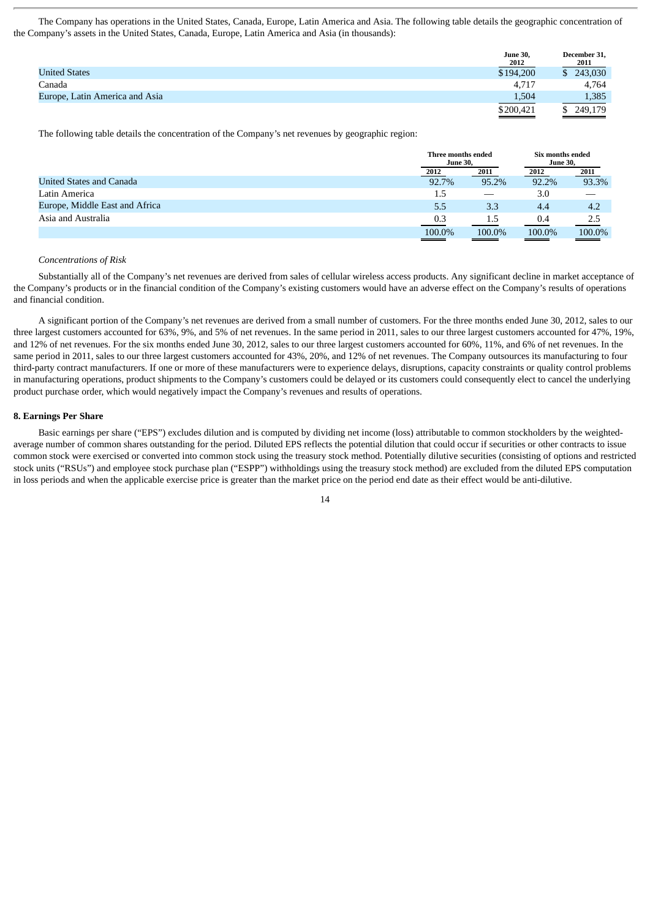The Company has operations in the United States, Canada, Europe, Latin America and Asia. The following table details the geographic concentration of the Company's assets in the United States, Canada, Europe, Latin America and Asia (in thousands):

|                                | <b>June 30,</b><br>2012 | December 31,<br>2011 |
|--------------------------------|-------------------------|----------------------|
| <b>United States</b>           | \$194,200               | \$243,030            |
| Canada                         | 4.717                   | 4,764                |
| Europe, Latin America and Asia | 1,504                   | 1,385                |
|                                | \$200,421               | 249,179              |

The following table details the concentration of the Company's net revenues by geographic region:

|                                | Three months ended<br><b>June 30,</b> |        | Six months ended<br><b>June 30,</b> |        |  |
|--------------------------------|---------------------------------------|--------|-------------------------------------|--------|--|
|                                | 2012                                  | 2011   | 2012                                | 2011   |  |
| United States and Canada       | 92.7%                                 | 95.2%  | 92.2%                               | 93.3%  |  |
| Latin America                  | 1.5                                   |        | 3.0                                 |        |  |
| Europe, Middle East and Africa | 5.5                                   | 3.3    | 4.4                                 | 4.2    |  |
| Asia and Australia             | 0.3                                   | 1.5    | 0.4                                 | 2.5    |  |
|                                | 100.0%                                | 100.0% | 100.0%                              | 100.0% |  |

#### *Concentrations of Risk*

Substantially all of the Company's net revenues are derived from sales of cellular wireless access products. Any significant decline in market acceptance of the Company's products or in the financial condition of the Company's existing customers would have an adverse effect on the Company's results of operations and financial condition.

A significant portion of the Company's net revenues are derived from a small number of customers. For the three months ended June 30, 2012, sales to our three largest customers accounted for 63%, 9%, and 5% of net revenues. In the same period in 2011, sales to our three largest customers accounted for 47%, 19%, and 12% of net revenues. For the six months ended June 30, 2012, sales to our three largest customers accounted for 60%, 11%, and 6% of net revenues. In the same period in 2011, sales to our three largest customers accounted for 43%, 20%, and 12% of net revenues. The Company outsources its manufacturing to four third-party contract manufacturers. If one or more of these manufacturers were to experience delays, disruptions, capacity constraints or quality control problems in manufacturing operations, product shipments to the Company's customers could be delayed or its customers could consequently elect to cancel the underlying product purchase order, which would negatively impact the Company's revenues and results of operations.

#### **8. Earnings Per Share**

Basic earnings per share ("EPS") excludes dilution and is computed by dividing net income (loss) attributable to common stockholders by the weightedaverage number of common shares outstanding for the period. Diluted EPS reflects the potential dilution that could occur if securities or other contracts to issue common stock were exercised or converted into common stock using the treasury stock method. Potentially dilutive securities (consisting of options and restricted stock units ("RSUs") and employee stock purchase plan ("ESPP") withholdings using the treasury stock method) are excluded from the diluted EPS computation in loss periods and when the applicable exercise price is greater than the market price on the period end date as their effect would be anti-dilutive.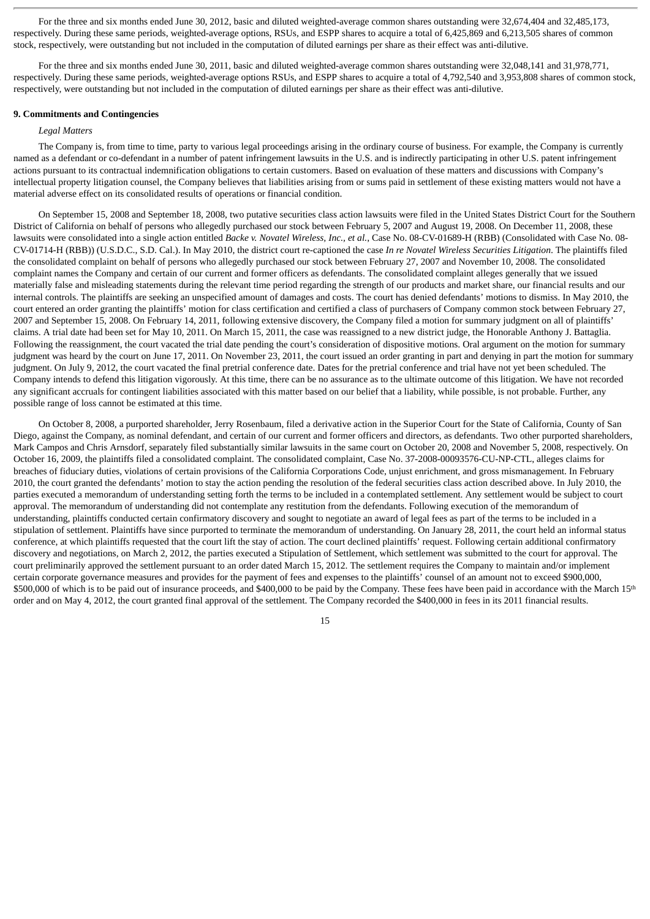For the three and six months ended June 30, 2012, basic and diluted weighted-average common shares outstanding were 32,674,404 and 32,485,173, respectively. During these same periods, weighted-average options, RSUs, and ESPP shares to acquire a total of 6,425,869 and 6,213,505 shares of common stock, respectively, were outstanding but not included in the computation of diluted earnings per share as their effect was anti-dilutive.

For the three and six months ended June 30, 2011, basic and diluted weighted-average common shares outstanding were 32,048,141 and 31,978,771, respectively. During these same periods, weighted-average options RSUs, and ESPP shares to acquire a total of 4,792,540 and 3,953,808 shares of common stock, respectively, were outstanding but not included in the computation of diluted earnings per share as their effect was anti-dilutive.

#### **9. Commitments and Contingencies**

# *Legal Matters*

The Company is, from time to time, party to various legal proceedings arising in the ordinary course of business. For example, the Company is currently named as a defendant or co-defendant in a number of patent infringement lawsuits in the U.S. and is indirectly participating in other U.S. patent infringement actions pursuant to its contractual indemnification obligations to certain customers. Based on evaluation of these matters and discussions with Company's intellectual property litigation counsel, the Company believes that liabilities arising from or sums paid in settlement of these existing matters would not have a material adverse effect on its consolidated results of operations or financial condition.

On September 15, 2008 and September 18, 2008, two putative securities class action lawsuits were filed in the United States District Court for the Southern District of California on behalf of persons who allegedly purchased our stock between February 5, 2007 and August 19, 2008. On December 11, 2008, these lawsuits were consolidated into a single action entitled *Backe v. Novatel Wireless, Inc., et al.*, Case No. 08-CV-01689-H (RBB) (Consolidated with Case No. 08- CV-01714-H (RBB)) (U.S.D.C., S.D. Cal.). In May 2010, the district court re-captioned the case *In re Novatel Wireless Securities Litigation*. The plaintiffs filed the consolidated complaint on behalf of persons who allegedly purchased our stock between February 27, 2007 and November 10, 2008. The consolidated complaint names the Company and certain of our current and former officers as defendants. The consolidated complaint alleges generally that we issued materially false and misleading statements during the relevant time period regarding the strength of our products and market share, our financial results and our internal controls. The plaintiffs are seeking an unspecified amount of damages and costs. The court has denied defendants' motions to dismiss. In May 2010, the court entered an order granting the plaintiffs' motion for class certification and certified a class of purchasers of Company common stock between February 27, 2007 and September 15, 2008. On February 14, 2011, following extensive discovery, the Company filed a motion for summary judgment on all of plaintiffs' claims. A trial date had been set for May 10, 2011. On March 15, 2011, the case was reassigned to a new district judge, the Honorable Anthony J. Battaglia. Following the reassignment, the court vacated the trial date pending the court's consideration of dispositive motions. Oral argument on the motion for summary judgment was heard by the court on June 17, 2011. On November 23, 2011, the court issued an order granting in part and denying in part the motion for summary judgment. On July 9, 2012, the court vacated the final pretrial conference date. Dates for the pretrial conference and trial have not yet been scheduled. The Company intends to defend this litigation vigorously. At this time, there can be no assurance as to the ultimate outcome of this litigation. We have not recorded any significant accruals for contingent liabilities associated with this matter based on our belief that a liability, while possible, is not probable. Further, any possible range of loss cannot be estimated at this time.

On October 8, 2008, a purported shareholder, Jerry Rosenbaum, filed a derivative action in the Superior Court for the State of California, County of San Diego, against the Company, as nominal defendant, and certain of our current and former officers and directors, as defendants. Two other purported shareholders, Mark Campos and Chris Arnsdorf, separately filed substantially similar lawsuits in the same court on October 20, 2008 and November 5, 2008, respectively. On October 16, 2009, the plaintiffs filed a consolidated complaint. The consolidated complaint, Case No. 37-2008-00093576-CU-NP-CTL, alleges claims for breaches of fiduciary duties, violations of certain provisions of the California Corporations Code, unjust enrichment, and gross mismanagement. In February 2010, the court granted the defendants' motion to stay the action pending the resolution of the federal securities class action described above. In July 2010, the parties executed a memorandum of understanding setting forth the terms to be included in a contemplated settlement. Any settlement would be subject to court approval. The memorandum of understanding did not contemplate any restitution from the defendants. Following execution of the memorandum of understanding, plaintiffs conducted certain confirmatory discovery and sought to negotiate an award of legal fees as part of the terms to be included in a stipulation of settlement. Plaintiffs have since purported to terminate the memorandum of understanding. On January 28, 2011, the court held an informal status conference, at which plaintiffs requested that the court lift the stay of action. The court declined plaintiffs' request. Following certain additional confirmatory discovery and negotiations, on March 2, 2012, the parties executed a Stipulation of Settlement, which settlement was submitted to the court for approval. The court preliminarily approved the settlement pursuant to an order dated March 15, 2012. The settlement requires the Company to maintain and/or implement certain corporate governance measures and provides for the payment of fees and expenses to the plaintiffs' counsel of an amount not to exceed \$900,000,  $\$500,000$  of which is to be paid out of insurance proceeds, and  $\$400,000$  to be paid by the Company. These fees have been paid in accordance with the March 15th order and on May 4, 2012, the court granted final approval of the settlement. The Company recorded the \$400,000 in fees in its 2011 financial results.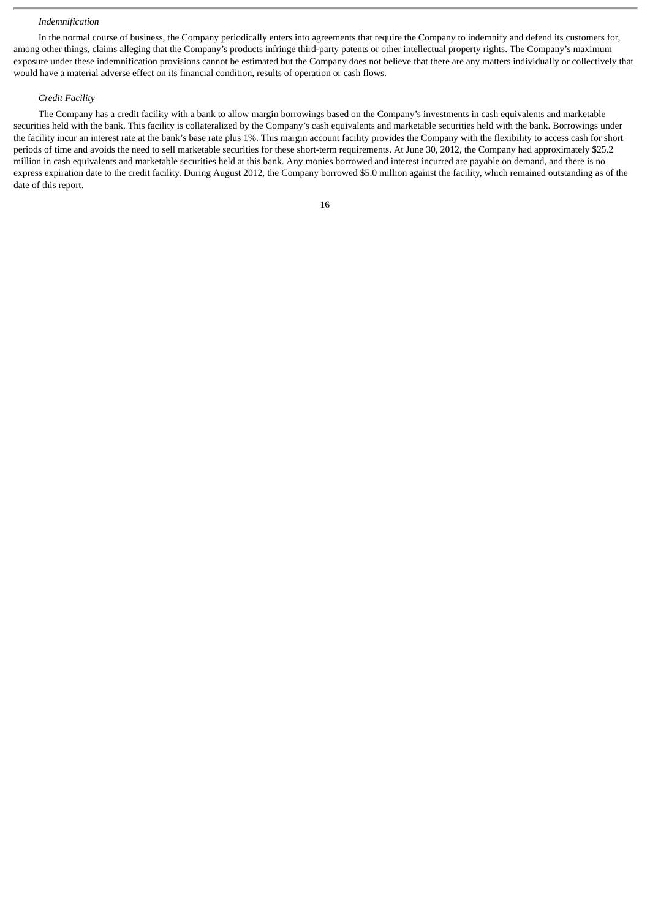## *Indemnification*

In the normal course of business, the Company periodically enters into agreements that require the Company to indemnify and defend its customers for, among other things, claims alleging that the Company's products infringe third-party patents or other intellectual property rights. The Company's maximum exposure under these indemnification provisions cannot be estimated but the Company does not believe that there are any matters individually or collectively that would have a material adverse effect on its financial condition, results of operation or cash flows.

#### *Credit Facility*

The Company has a credit facility with a bank to allow margin borrowings based on the Company's investments in cash equivalents and marketable securities held with the bank. This facility is collateralized by the Company's cash equivalents and marketable securities held with the bank. Borrowings under the facility incur an interest rate at the bank's base rate plus 1%. This margin account facility provides the Company with the flexibility to access cash for short periods of time and avoids the need to sell marketable securities for these short-term requirements. At June 30, 2012, the Company had approximately \$25.2 million in cash equivalents and marketable securities held at this bank. Any monies borrowed and interest incurred are payable on demand, and there is no express expiration date to the credit facility. During August 2012, the Company borrowed \$5.0 million against the facility, which remained outstanding as of the date of this report.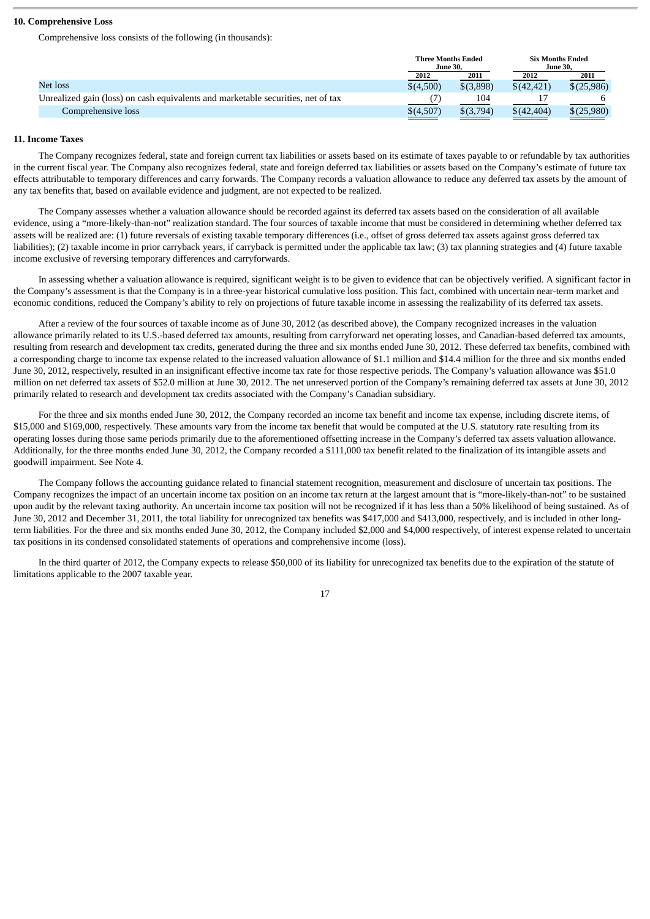#### **10. Comprehensive Loss**

Comprehensive loss consists of the following (in thousands):

|                                                                                  | <b>Three Months Ended</b><br><b>June 30.</b> |               | <b>Six Months Ended</b><br><b>June 30.</b> |            |
|----------------------------------------------------------------------------------|----------------------------------------------|---------------|--------------------------------------------|------------|
|                                                                                  | 2012                                         | 2011          | 2012                                       | 2011       |
| Net loss                                                                         | \$(4,500)                                    | $$$ $(3,898)$ | \$(42,421)                                 | \$(25,986) |
| Unrealized gain (loss) on cash equivalents and marketable securities, net of tax |                                              | 104           |                                            |            |
| Comprehensive loss                                                               | \$(4,507)                                    | \$(3,794)     | \$(42, 404)                                | \$(25,980) |

#### **11. Income Taxes**

The Company recognizes federal, state and foreign current tax liabilities or assets based on its estimate of taxes payable to or refundable by tax authorities in the current fiscal year. The Company also recognizes federal, state and foreign deferred tax liabilities or assets based on the Company's estimate of future tax effects attributable to temporary differences and carry forwards. The Company records a valuation allowance to reduce any deferred tax assets by the amount of any tax benefits that, based on available evidence and judgment, are not expected to be realized.

The Company assesses whether a valuation allowance should be recorded against its deferred tax assets based on the consideration of all available evidence, using a "more-likely-than-not" realization standard. The four sources of taxable income that must be considered in determining whether deferred tax assets will be realized are: (1) future reversals of existing taxable temporary differences (i.e., offset of gross deferred tax assets against gross deferred tax liabilities); (2) taxable income in prior carryback years, if carryback is permitted under the applicable tax law; (3) tax planning strategies and (4) future taxable income exclusive of reversing temporary differences and carryforwards.

In assessing whether a valuation allowance is required, significant weight is to be given to evidence that can be objectively verified. A significant factor in the Company's assessment is that the Company is in a three-year historical cumulative loss position. This fact, combined with uncertain near-term market and economic conditions, reduced the Company's ability to rely on projections of future taxable income in assessing the realizability of its deferred tax assets.

After a review of the four sources of taxable income as of June 30, 2012 (as described above), the Company recognized increases in the valuation allowance primarily related to its U.S.-based deferred tax amounts, resulting from carryforward net operating losses, and Canadian-based deferred tax amounts, resulting from research and development tax credits, generated during the three and six months ended June 30, 2012. These deferred tax benefits, combined with a corresponding charge to income tax expense related to the increased valuation allowance of \$1.1 million and \$14.4 million for the three and six months ended June 30, 2012, respectively, resulted in an insignificant effective income tax rate for those respective periods. The Company's valuation allowance was \$51.0 million on net deferred tax assets of \$52.0 million at June 30, 2012. The net unreserved portion of the Company's remaining deferred tax assets at June 30, 2012 primarily related to research and development tax credits associated with the Company's Canadian subsidiary.

For the three and six months ended June 30, 2012, the Company recorded an income tax benefit and income tax expense, including discrete items, of \$15,000 and \$169,000, respectively. These amounts vary from the income tax benefit that would be computed at the U.S. statutory rate resulting from its operating losses during those same periods primarily due to the aforementioned offsetting increase in the Company's deferred tax assets valuation allowance. Additionally, for the three months ended June 30, 2012, the Company recorded a \$111,000 tax benefit related to the finalization of its intangible assets and goodwill impairment. See Note 4.

The Company follows the accounting guidance related to financial statement recognition, measurement and disclosure of uncertain tax positions. The Company recognizes the impact of an uncertain income tax position on an income tax return at the largest amount that is "more-likely-than-not" to be sustained upon audit by the relevant taxing authority. An uncertain income tax position will not be recognized if it has less than a 50% likelihood of being sustained. As of June 30, 2012 and December 31, 2011, the total liability for unrecognized tax benefits was \$417,000 and \$413,000, respectively, and is included in other longterm liabilities. For the three and six months ended June 30, 2012, the Company included \$2,000 and \$4,000 respectively, of interest expense related to uncertain tax positions in its condensed consolidated statements of operations and comprehensive income (loss).

In the third quarter of 2012, the Company expects to release \$50,000 of its liability for unrecognized tax benefits due to the expiration of the statute of limitations applicable to the 2007 taxable year.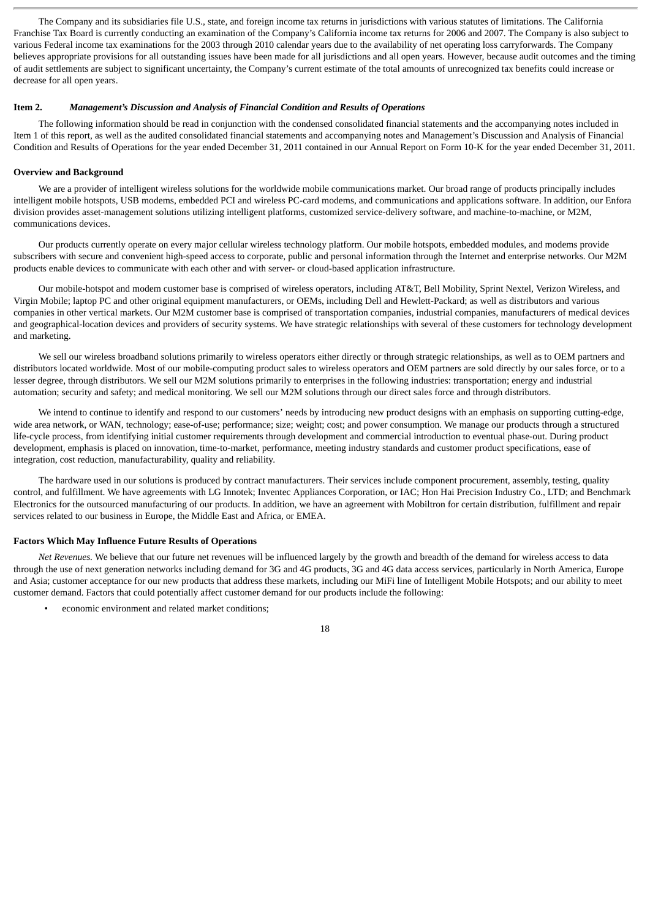The Company and its subsidiaries file U.S., state, and foreign income tax returns in jurisdictions with various statutes of limitations. The California Franchise Tax Board is currently conducting an examination of the Company's California income tax returns for 2006 and 2007. The Company is also subject to various Federal income tax examinations for the 2003 through 2010 calendar years due to the availability of net operating loss carryforwards. The Company believes appropriate provisions for all outstanding issues have been made for all jurisdictions and all open years. However, because audit outcomes and the timing of audit settlements are subject to significant uncertainty, the Company's current estimate of the total amounts of unrecognized tax benefits could increase or decrease for all open years.

#### **Item 2.** *Management's Discussion and Analysis of Financial Condition and Results of Operations*

The following information should be read in conjunction with the condensed consolidated financial statements and the accompanying notes included in Item 1 of this report, as well as the audited consolidated financial statements and accompanying notes and Management's Discussion and Analysis of Financial Condition and Results of Operations for the year ended December 31, 2011 contained in our Annual Report on Form 10-K for the year ended December 31, 2011.

#### **Overview and Background**

We are a provider of intelligent wireless solutions for the worldwide mobile communications market. Our broad range of products principally includes intelligent mobile hotspots, USB modems, embedded PCI and wireless PC-card modems, and communications and applications software. In addition, our Enfora division provides asset-management solutions utilizing intelligent platforms, customized service-delivery software, and machine-to-machine, or M2M, communications devices.

Our products currently operate on every major cellular wireless technology platform. Our mobile hotspots, embedded modules, and modems provide subscribers with secure and convenient high-speed access to corporate, public and personal information through the Internet and enterprise networks. Our M2M products enable devices to communicate with each other and with server- or cloud-based application infrastructure.

Our mobile-hotspot and modem customer base is comprised of wireless operators, including AT&T, Bell Mobility, Sprint Nextel, Verizon Wireless, and Virgin Mobile; laptop PC and other original equipment manufacturers, or OEMs, including Dell and Hewlett-Packard; as well as distributors and various companies in other vertical markets. Our M2M customer base is comprised of transportation companies, industrial companies, manufacturers of medical devices and geographical-location devices and providers of security systems. We have strategic relationships with several of these customers for technology development and marketing.

We sell our wireless broadband solutions primarily to wireless operators either directly or through strategic relationships, as well as to OEM partners and distributors located worldwide. Most of our mobile-computing product sales to wireless operators and OEM partners are sold directly by our sales force, or to a lesser degree, through distributors. We sell our M2M solutions primarily to enterprises in the following industries: transportation; energy and industrial automation; security and safety; and medical monitoring. We sell our M2M solutions through our direct sales force and through distributors.

We intend to continue to identify and respond to our customers' needs by introducing new product designs with an emphasis on supporting cutting-edge, wide area network, or WAN, technology; ease-of-use; performance; size; weight; cost; and power consumption. We manage our products through a structured life-cycle process, from identifying initial customer requirements through development and commercial introduction to eventual phase-out. During product development, emphasis is placed on innovation, time-to-market, performance, meeting industry standards and customer product specifications, ease of integration, cost reduction, manufacturability, quality and reliability.

The hardware used in our solutions is produced by contract manufacturers. Their services include component procurement, assembly, testing, quality control, and fulfillment. We have agreements with LG Innotek; Inventec Appliances Corporation, or IAC; Hon Hai Precision Industry Co., LTD; and Benchmark Electronics for the outsourced manufacturing of our products. In addition, we have an agreement with Mobiltron for certain distribution, fulfillment and repair services related to our business in Europe, the Middle East and Africa, or EMEA.

#### **Factors Which May Influence Future Results of Operations**

*Net Revenues.* We believe that our future net revenues will be influenced largely by the growth and breadth of the demand for wireless access to data through the use of next generation networks including demand for 3G and 4G products, 3G and 4G data access services, particularly in North America, Europe and Asia; customer acceptance for our new products that address these markets, including our MiFi line of Intelligent Mobile Hotspots; and our ability to meet customer demand. Factors that could potentially affect customer demand for our products include the following:

• economic environment and related market conditions;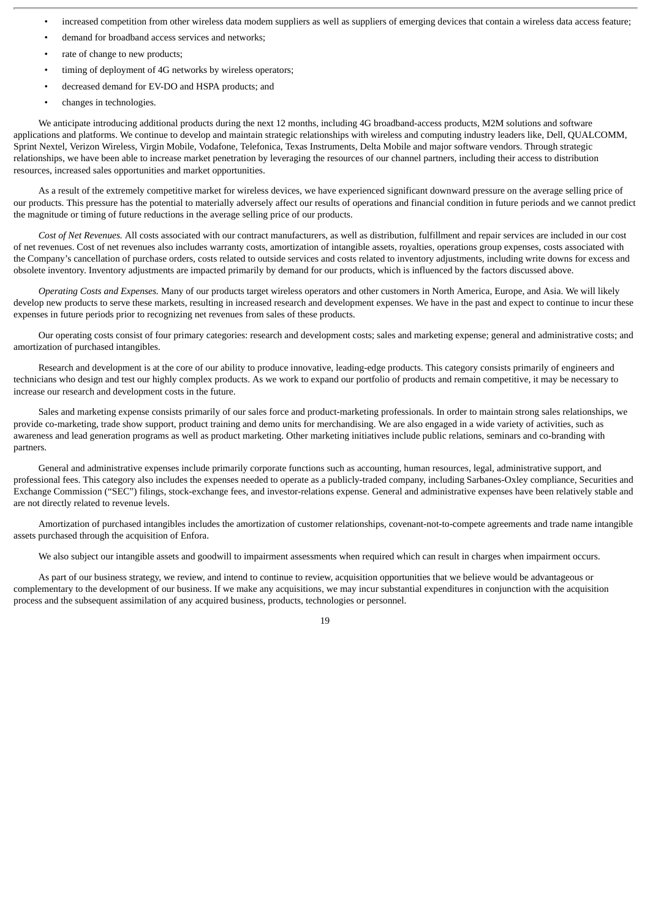- increased competition from other wireless data modem suppliers as well as suppliers of emerging devices that contain a wireless data access feature;
- demand for broadband access services and networks;
- rate of change to new products;
- timing of deployment of 4G networks by wireless operators;
- decreased demand for EV-DO and HSPA products; and
- changes in technologies.

We anticipate introducing additional products during the next 12 months, including 4G broadband-access products, M2M solutions and software applications and platforms. We continue to develop and maintain strategic relationships with wireless and computing industry leaders like, Dell, QUALCOMM, Sprint Nextel, Verizon Wireless, Virgin Mobile, Vodafone, Telefonica, Texas Instruments, Delta Mobile and major software vendors. Through strategic relationships, we have been able to increase market penetration by leveraging the resources of our channel partners, including their access to distribution resources, increased sales opportunities and market opportunities.

As a result of the extremely competitive market for wireless devices, we have experienced significant downward pressure on the average selling price of our products. This pressure has the potential to materially adversely affect our results of operations and financial condition in future periods and we cannot predict the magnitude or timing of future reductions in the average selling price of our products.

*Cost of Net Revenues.* All costs associated with our contract manufacturers, as well as distribution, fulfillment and repair services are included in our cost of net revenues. Cost of net revenues also includes warranty costs, amortization of intangible assets, royalties, operations group expenses, costs associated with the Company's cancellation of purchase orders, costs related to outside services and costs related to inventory adjustments, including write downs for excess and obsolete inventory. Inventory adjustments are impacted primarily by demand for our products, which is influenced by the factors discussed above.

*Operating Costs and Expenses.* Many of our products target wireless operators and other customers in North America, Europe, and Asia. We will likely develop new products to serve these markets, resulting in increased research and development expenses. We have in the past and expect to continue to incur these expenses in future periods prior to recognizing net revenues from sales of these products.

Our operating costs consist of four primary categories: research and development costs; sales and marketing expense; general and administrative costs; and amortization of purchased intangibles.

Research and development is at the core of our ability to produce innovative, leading-edge products. This category consists primarily of engineers and technicians who design and test our highly complex products. As we work to expand our portfolio of products and remain competitive, it may be necessary to increase our research and development costs in the future.

Sales and marketing expense consists primarily of our sales force and product-marketing professionals. In order to maintain strong sales relationships, we provide co-marketing, trade show support, product training and demo units for merchandising. We are also engaged in a wide variety of activities, such as awareness and lead generation programs as well as product marketing. Other marketing initiatives include public relations, seminars and co-branding with partners.

General and administrative expenses include primarily corporate functions such as accounting, human resources, legal, administrative support, and professional fees. This category also includes the expenses needed to operate as a publicly-traded company, including Sarbanes-Oxley compliance, Securities and Exchange Commission ("SEC") filings, stock-exchange fees, and investor-relations expense. General and administrative expenses have been relatively stable and are not directly related to revenue levels.

Amortization of purchased intangibles includes the amortization of customer relationships, covenant-not-to-compete agreements and trade name intangible assets purchased through the acquisition of Enfora.

We also subject our intangible assets and goodwill to impairment assessments when required which can result in charges when impairment occurs.

As part of our business strategy, we review, and intend to continue to review, acquisition opportunities that we believe would be advantageous or complementary to the development of our business. If we make any acquisitions, we may incur substantial expenditures in conjunction with the acquisition process and the subsequent assimilation of any acquired business, products, technologies or personnel.

 $1<sub>0</sub>$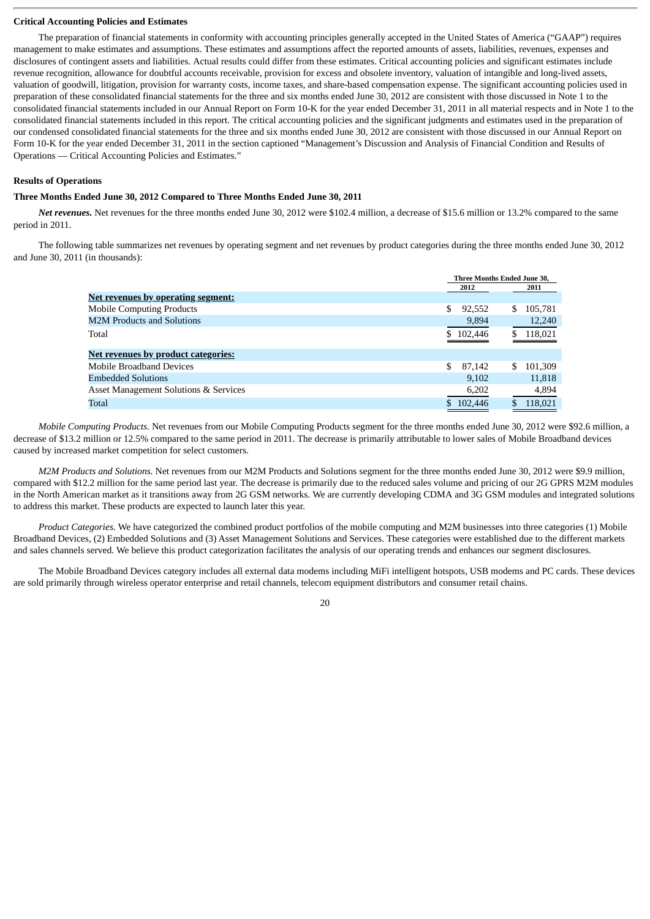#### **Critical Accounting Policies and Estimates**

The preparation of financial statements in conformity with accounting principles generally accepted in the United States of America ("GAAP") requires management to make estimates and assumptions. These estimates and assumptions affect the reported amounts of assets, liabilities, revenues, expenses and disclosures of contingent assets and liabilities. Actual results could differ from these estimates. Critical accounting policies and significant estimates include revenue recognition, allowance for doubtful accounts receivable, provision for excess and obsolete inventory, valuation of intangible and long-lived assets, valuation of goodwill, litigation, provision for warranty costs, income taxes, and share-based compensation expense. The significant accounting policies used in preparation of these consolidated financial statements for the three and six months ended June 30, 2012 are consistent with those discussed in Note 1 to the consolidated financial statements included in our Annual Report on Form 10-K for the year ended December 31, 2011 in all material respects and in Note 1 to the consolidated financial statements included in this report. The critical accounting policies and the significant judgments and estimates used in the preparation of our condensed consolidated financial statements for the three and six months ended June 30, 2012 are consistent with those discussed in our Annual Report on Form 10-K for the year ended December 31, 2011 in the section captioned "Management's Discussion and Analysis of Financial Condition and Results of Operations — Critical Accounting Policies and Estimates."

#### **Results of Operations**

# **Three Months Ended June 30, 2012 Compared to Three Months Ended June 30, 2011**

*Net revenues.* Net revenues for the three months ended June 30, 2012 were \$102.4 million, a decrease of \$15.6 million or 13.2% compared to the same period in 2011.

The following table summarizes net revenues by operating segment and net revenues by product categories during the three months ended June 30, 2012 and June 30, 2011 (in thousands):

|                                       | Three Months Ended June 30, |           |    |         |
|---------------------------------------|-----------------------------|-----------|----|---------|
|                                       |                             | 2012      |    | 2011    |
| Net revenues by operating segment:    |                             |           |    |         |
| <b>Mobile Computing Products</b>      | \$                          | 92,552    | \$ | 105,781 |
| <b>M2M Products and Solutions</b>     |                             | 9,894     |    | 12,240  |
| Total                                 |                             | \$102,446 |    | 118,021 |
| Net revenues by product categories:   |                             |           |    |         |
| Mobile Broadband Devices              | \$                          | 87.142    | S  | 101,309 |
| <b>Embedded Solutions</b>             |                             | 9,102     |    | 11,818  |
| Asset Management Solutions & Services |                             | 6,202     |    | 4,894   |
| Total                                 |                             | 102.446   |    | 118,021 |

*Mobile Computing Products.* Net revenues from our Mobile Computing Products segment for the three months ended June 30, 2012 were \$92.6 million, a decrease of \$13.2 million or 12.5% compared to the same period in 2011. The decrease is primarily attributable to lower sales of Mobile Broadband devices caused by increased market competition for select customers.

*M2M Products and Solutions.* Net revenues from our M2M Products and Solutions segment for the three months ended June 30, 2012 were \$9.9 million, compared with \$12.2 million for the same period last year. The decrease is primarily due to the reduced sales volume and pricing of our 2G GPRS M2M modules in the North American market as it transitions away from 2G GSM networks. We are currently developing CDMA and 3G GSM modules and integrated solutions to address this market. These products are expected to launch later this year.

*Product Categories.* We have categorized the combined product portfolios of the mobile computing and M2M businesses into three categories (1) Mobile Broadband Devices, (2) Embedded Solutions and (3) Asset Management Solutions and Services. These categories were established due to the different markets and sales channels served. We believe this product categorization facilitates the analysis of our operating trends and enhances our segment disclosures.

The Mobile Broadband Devices category includes all external data modems including MiFi intelligent hotspots, USB modems and PC cards. These devices are sold primarily through wireless operator enterprise and retail channels, telecom equipment distributors and consumer retail chains.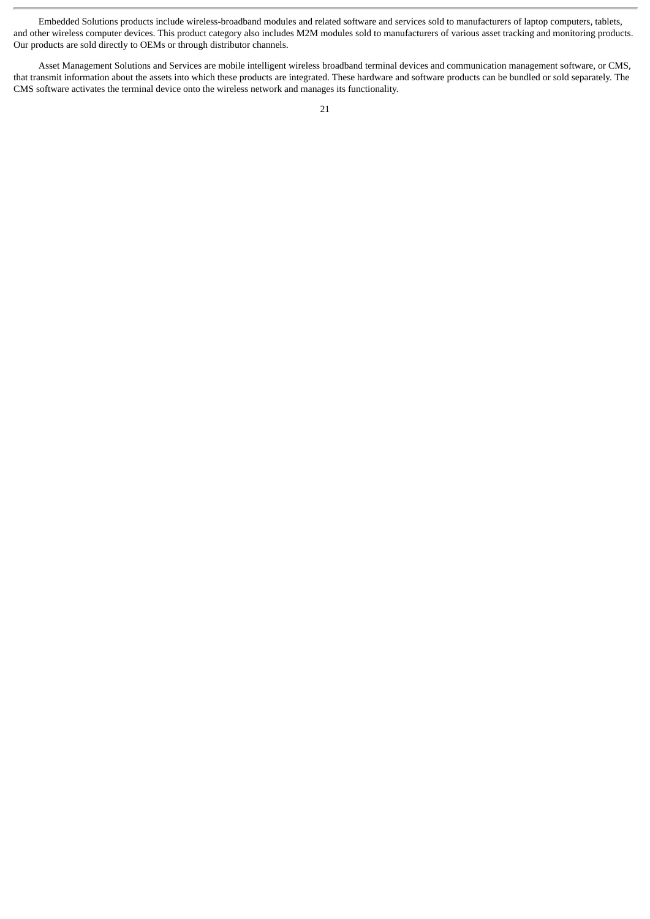Embedded Solutions products include wireless-broadband modules and related software and services sold to manufacturers of laptop computers, tablets, and other wireless computer devices. This product category also includes M2M modules sold to manufacturers of various asset tracking and monitoring products. Our products are sold directly to OEMs or through distributor channels.

Asset Management Solutions and Services are mobile intelligent wireless broadband terminal devices and communication management software, or CMS, that transmit information about the assets into which these products are integrated. These hardware and software products can be bundled or sold separately. The CMS software activates the terminal device onto the wireless network and manages its functionality.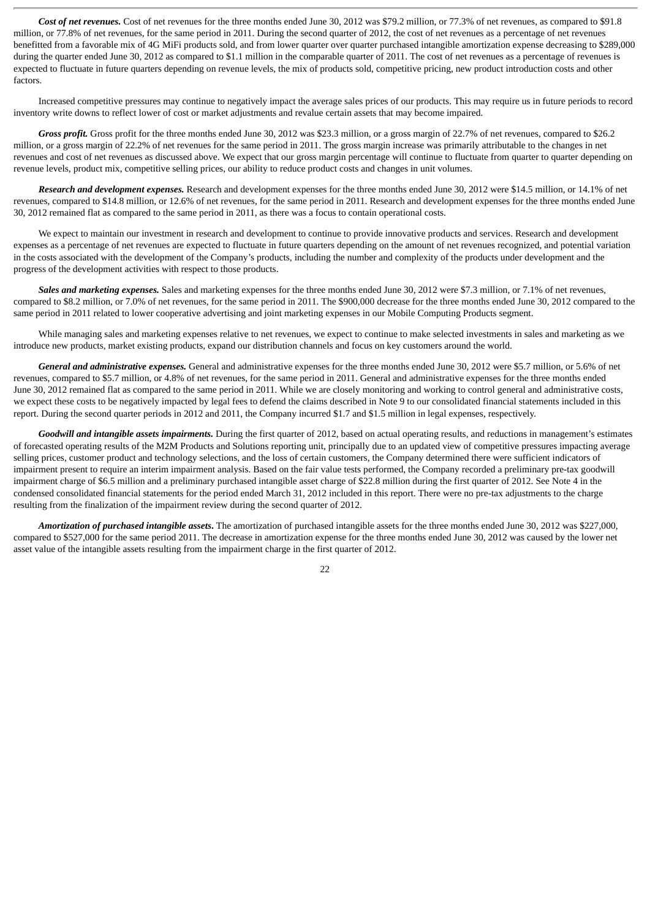*Cost of net revenues.* Cost of net revenues for the three months ended June 30, 2012 was \$79.2 million, or 77.3% of net revenues, as compared to \$91.8 million, or 77.8% of net revenues, for the same period in 2011. During the second quarter of 2012, the cost of net revenues as a percentage of net revenues benefitted from a favorable mix of 4G MiFi products sold, and from lower quarter over quarter purchased intangible amortization expense decreasing to \$289,000 during the quarter ended June 30, 2012 as compared to \$1.1 million in the comparable quarter of 2011. The cost of net revenues as a percentage of revenues is expected to fluctuate in future quarters depending on revenue levels, the mix of products sold, competitive pricing, new product introduction costs and other factors.

Increased competitive pressures may continue to negatively impact the average sales prices of our products. This may require us in future periods to record inventory write downs to reflect lower of cost or market adjustments and revalue certain assets that may become impaired.

*Gross profit.* Gross profit for the three months ended June 30, 2012 was \$23.3 million, or a gross margin of 22.7% of net revenues, compared to \$26.2 million, or a gross margin of 22.2% of net revenues for the same period in 2011. The gross margin increase was primarily attributable to the changes in net revenues and cost of net revenues as discussed above. We expect that our gross margin percentage will continue to fluctuate from quarter to quarter depending on revenue levels, product mix, competitive selling prices, our ability to reduce product costs and changes in unit volumes.

*Research and development expenses.* Research and development expenses for the three months ended June 30, 2012 were \$14.5 million, or 14.1% of net revenues, compared to \$14.8 million, or 12.6% of net revenues, for the same period in 2011. Research and development expenses for the three months ended June 30, 2012 remained flat as compared to the same period in 2011, as there was a focus to contain operational costs.

We expect to maintain our investment in research and development to continue to provide innovative products and services. Research and development expenses as a percentage of net revenues are expected to fluctuate in future quarters depending on the amount of net revenues recognized, and potential variation in the costs associated with the development of the Company's products, including the number and complexity of the products under development and the progress of the development activities with respect to those products.

*Sales and marketing expenses.* Sales and marketing expenses for the three months ended June 30, 2012 were \$7.3 million, or 7.1% of net revenues, compared to \$8.2 million, or 7.0% of net revenues, for the same period in 2011. The \$900,000 decrease for the three months ended June 30, 2012 compared to the same period in 2011 related to lower cooperative advertising and joint marketing expenses in our Mobile Computing Products segment.

While managing sales and marketing expenses relative to net revenues, we expect to continue to make selected investments in sales and marketing as we introduce new products, market existing products, expand our distribution channels and focus on key customers around the world.

*General and administrative expenses.* General and administrative expenses for the three months ended June 30, 2012 were \$5.7 million, or 5.6% of net revenues, compared to \$5.7 million, or 4.8% of net revenues, for the same period in 2011. General and administrative expenses for the three months ended June 30, 2012 remained flat as compared to the same period in 2011. While we are closely monitoring and working to control general and administrative costs, we expect these costs to be negatively impacted by legal fees to defend the claims described in Note 9 to our consolidated financial statements included in this report. During the second quarter periods in 2012 and 2011, the Company incurred \$1.7 and \$1.5 million in legal expenses, respectively.

*Goodwill and intangible assets impairments.* During the first quarter of 2012, based on actual operating results, and reductions in management's estimates of forecasted operating results of the M2M Products and Solutions reporting unit, principally due to an updated view of competitive pressures impacting average selling prices, customer product and technology selections, and the loss of certain customers, the Company determined there were sufficient indicators of impairment present to require an interim impairment analysis. Based on the fair value tests performed, the Company recorded a preliminary pre-tax goodwill impairment charge of \$6.5 million and a preliminary purchased intangible asset charge of \$22.8 million during the first quarter of 2012. See Note 4 in the condensed consolidated financial statements for the period ended March 31, 2012 included in this report. There were no pre-tax adjustments to the charge resulting from the finalization of the impairment review during the second quarter of 2012.

*Amortization of purchased intangible assets***.** The amortization of purchased intangible assets for the three months ended June 30, 2012 was \$227,000, compared to \$527,000 for the same period 2011. The decrease in amortization expense for the three months ended June 30, 2012 was caused by the lower net asset value of the intangible assets resulting from the impairment charge in the first quarter of 2012.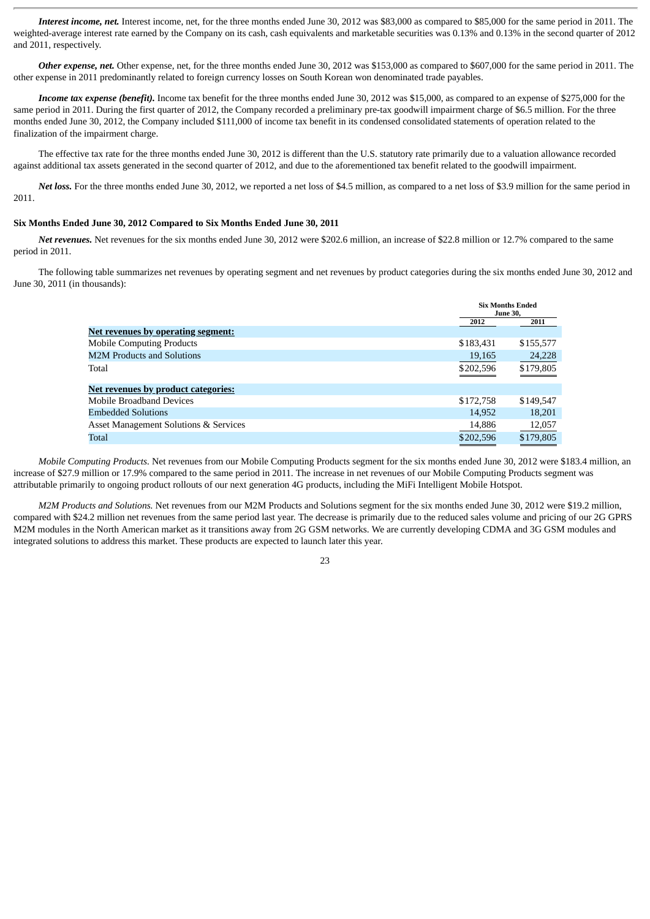*Interest income, net.* Interest income, net, for the three months ended June 30, 2012 was \$83,000 as compared to \$85,000 for the same period in 2011. The weighted-average interest rate earned by the Company on its cash, cash equivalents and marketable securities was 0.13% and 0.13% in the second quarter of 2012 and 2011, respectively.

*Other expense, net.* Other expense, net, for the three months ended June 30, 2012 was \$153,000 as compared to \$607,000 for the same period in 2011. The other expense in 2011 predominantly related to foreign currency losses on South Korean won denominated trade payables.

*Income tax expense (benefit).* Income tax benefit for the three months ended June 30, 2012 was \$15,000, as compared to an expense of \$275,000 for the same period in 2011. During the first quarter of 2012, the Company recorded a preliminary pre-tax goodwill impairment charge of \$6.5 million. For the three months ended June 30, 2012, the Company included \$111,000 of income tax benefit in its condensed consolidated statements of operation related to the finalization of the impairment charge.

The effective tax rate for the three months ended June 30, 2012 is different than the U.S. statutory rate primarily due to a valuation allowance recorded against additional tax assets generated in the second quarter of 2012, and due to the aforementioned tax benefit related to the goodwill impairment.

*Net loss.* For the three months ended June 30, 2012, we reported a net loss of \$4.5 million, as compared to a net loss of \$3.9 million for the same period in 2011.

#### **Six Months Ended June 30, 2012 Compared to Six Months Ended June 30, 2011**

*Net revenues.* Net revenues for the six months ended June 30, 2012 were \$202.6 million, an increase of \$22.8 million or 12.7% compared to the same period in 2011.

The following table summarizes net revenues by operating segment and net revenues by product categories during the six months ended June 30, 2012 and June 30, 2011 (in thousands):

|                                           | <b>Six Months Ended</b><br><b>June 30.</b> |           |  |
|-------------------------------------------|--------------------------------------------|-----------|--|
|                                           | 2012                                       | 2011      |  |
| <u>Net revenues by operating segment:</u> |                                            |           |  |
| <b>Mobile Computing Products</b>          | \$183,431                                  | \$155,577 |  |
| <b>M2M Products and Solutions</b>         | 19,165                                     | 24,228    |  |
| Total                                     | \$202,596                                  | \$179,805 |  |
| Net revenues by product categories:       |                                            |           |  |
| Mobile Broadband Devices                  | \$172,758                                  | \$149,547 |  |
| <b>Embedded Solutions</b>                 | 14,952                                     | 18,201    |  |
| Asset Management Solutions & Services     | 14,886                                     | 12,057    |  |
| Total                                     | \$202,596                                  | \$179,805 |  |

*Mobile Computing Products.* Net revenues from our Mobile Computing Products segment for the six months ended June 30, 2012 were \$183.4 million, an increase of \$27.9 million or 17.9% compared to the same period in 2011. The increase in net revenues of our Mobile Computing Products segment was attributable primarily to ongoing product rollouts of our next generation 4G products, including the MiFi Intelligent Mobile Hotspot.

*M2M Products and Solutions.* Net revenues from our M2M Products and Solutions segment for the six months ended June 30, 2012 were \$19.2 million, compared with \$24.2 million net revenues from the same period last year. The decrease is primarily due to the reduced sales volume and pricing of our 2G GPRS M2M modules in the North American market as it transitions away from 2G GSM networks. We are currently developing CDMA and 3G GSM modules and integrated solutions to address this market. These products are expected to launch later this year.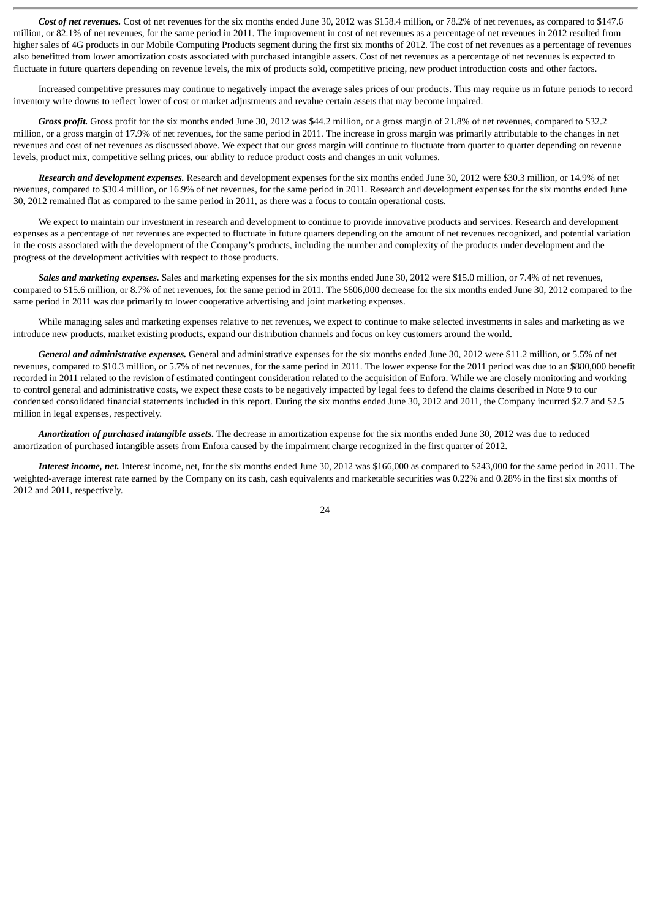*Cost of net revenues.* Cost of net revenues for the six months ended June 30, 2012 was \$158.4 million, or 78.2% of net revenues, as compared to \$147.6 million, or 82.1% of net revenues, for the same period in 2011. The improvement in cost of net revenues as a percentage of net revenues in 2012 resulted from higher sales of 4G products in our Mobile Computing Products segment during the first six months of 2012. The cost of net revenues as a percentage of revenues also benefitted from lower amortization costs associated with purchased intangible assets. Cost of net revenues as a percentage of net revenues is expected to fluctuate in future quarters depending on revenue levels, the mix of products sold, competitive pricing, new product introduction costs and other factors.

Increased competitive pressures may continue to negatively impact the average sales prices of our products. This may require us in future periods to record inventory write downs to reflect lower of cost or market adjustments and revalue certain assets that may become impaired.

*Gross profit.* Gross profit for the six months ended June 30, 2012 was \$44.2 million, or a gross margin of 21.8% of net revenues, compared to \$32.2 million, or a gross margin of 17.9% of net revenues, for the same period in 2011. The increase in gross margin was primarily attributable to the changes in net revenues and cost of net revenues as discussed above. We expect that our gross margin will continue to fluctuate from quarter to quarter depending on revenue levels, product mix, competitive selling prices, our ability to reduce product costs and changes in unit volumes.

*Research and development expenses.* Research and development expenses for the six months ended June 30, 2012 were \$30.3 million, or 14.9% of net revenues, compared to \$30.4 million, or 16.9% of net revenues, for the same period in 2011. Research and development expenses for the six months ended June 30, 2012 remained flat as compared to the same period in 2011, as there was a focus to contain operational costs.

We expect to maintain our investment in research and development to continue to provide innovative products and services. Research and development expenses as a percentage of net revenues are expected to fluctuate in future quarters depending on the amount of net revenues recognized, and potential variation in the costs associated with the development of the Company's products, including the number and complexity of the products under development and the progress of the development activities with respect to those products.

*Sales and marketing expenses.* Sales and marketing expenses for the six months ended June 30, 2012 were \$15.0 million, or 7.4% of net revenues, compared to \$15.6 million, or 8.7% of net revenues, for the same period in 2011. The \$606,000 decrease for the six months ended June 30, 2012 compared to the same period in 2011 was due primarily to lower cooperative advertising and joint marketing expenses.

While managing sales and marketing expenses relative to net revenues, we expect to continue to make selected investments in sales and marketing as we introduce new products, market existing products, expand our distribution channels and focus on key customers around the world.

*General and administrative expenses.* General and administrative expenses for the six months ended June 30, 2012 were \$11.2 million, or 5.5% of net revenues, compared to \$10.3 million, or 5.7% of net revenues, for the same period in 2011. The lower expense for the 2011 period was due to an \$880,000 benefit recorded in 2011 related to the revision of estimated contingent consideration related to the acquisition of Enfora. While we are closely monitoring and working to control general and administrative costs, we expect these costs to be negatively impacted by legal fees to defend the claims described in Note 9 to our condensed consolidated financial statements included in this report. During the six months ended June 30, 2012 and 2011, the Company incurred \$2.7 and \$2.5 million in legal expenses, respectively.

*Amortization of purchased intangible assets***.** The decrease in amortization expense for the six months ended June 30, 2012 was due to reduced amortization of purchased intangible assets from Enfora caused by the impairment charge recognized in the first quarter of 2012.

*Interest income, net.* Interest income, net, for the six months ended June 30, 2012 was \$166,000 as compared to \$243,000 for the same period in 2011. The weighted-average interest rate earned by the Company on its cash, cash equivalents and marketable securities was 0.22% and 0.28% in the first six months of 2012 and 2011, respectively.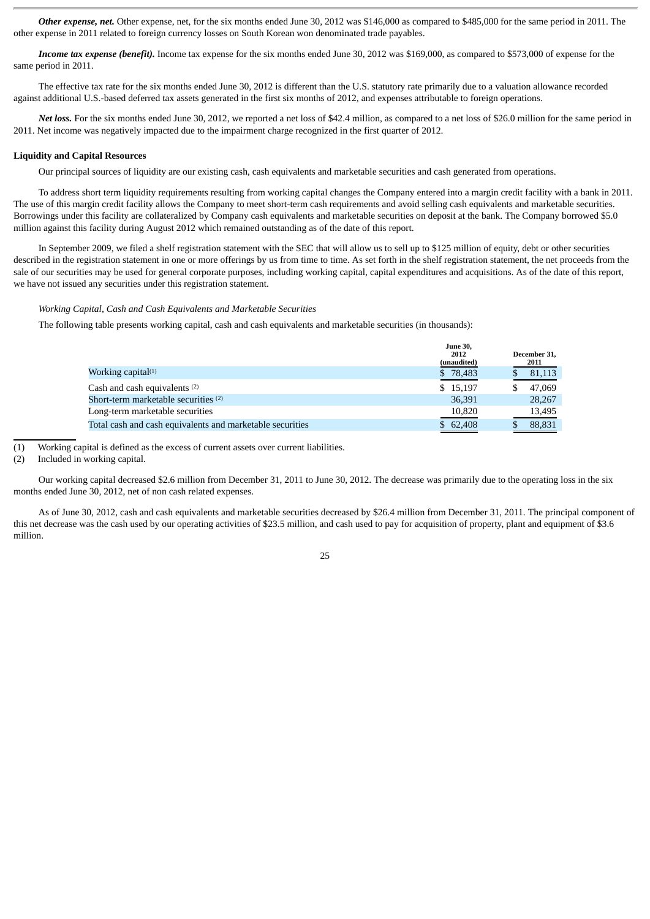*Other expense, net.* Other expense, net, for the six months ended June 30, 2012 was \$146,000 as compared to \$485,000 for the same period in 2011. The other expense in 2011 related to foreign currency losses on South Korean won denominated trade payables.

*Income tax expense (benefit).* Income tax expense for the six months ended June 30, 2012 was \$169,000, as compared to \$573,000 of expense for the same period in 2011.

The effective tax rate for the six months ended June 30, 2012 is different than the U.S. statutory rate primarily due to a valuation allowance recorded against additional U.S.-based deferred tax assets generated in the first six months of 2012, and expenses attributable to foreign operations.

*Net loss.* For the six months ended June 30, 2012, we reported a net loss of \$42.4 million, as compared to a net loss of \$26.0 million for the same period in 2011. Net income was negatively impacted due to the impairment charge recognized in the first quarter of 2012.

#### **Liquidity and Capital Resources**

Our principal sources of liquidity are our existing cash, cash equivalents and marketable securities and cash generated from operations.

To address short term liquidity requirements resulting from working capital changes the Company entered into a margin credit facility with a bank in 2011. The use of this margin credit facility allows the Company to meet short-term cash requirements and avoid selling cash equivalents and marketable securities. Borrowings under this facility are collateralized by Company cash equivalents and marketable securities on deposit at the bank. The Company borrowed \$5.0 million against this facility during August 2012 which remained outstanding as of the date of this report.

In September 2009, we filed a shelf registration statement with the SEC that will allow us to sell up to \$125 million of equity, debt or other securities described in the registration statement in one or more offerings by us from time to time. As set forth in the shelf registration statement, the net proceeds from the sale of our securities may be used for general corporate purposes, including working capital, capital expenditures and acquisitions. As of the date of this report, we have not issued any securities under this registration statement.

#### *Working Capital, Cash and Cash Equivalents and Marketable Securities*

The following table presents working capital, cash and cash equivalents and marketable securities (in thousands):

|                                                           | <b>June 30,</b> |              |        |  |
|-----------------------------------------------------------|-----------------|--------------|--------|--|
|                                                           | 2012            | December 31, |        |  |
|                                                           | (unaudited)     |              | 2011   |  |
| Working capital $(1)$                                     | \$78,483        |              | 81,113 |  |
| Cash and cash equivalents (2)                             | \$15,197        |              | 47,069 |  |
| Short-term marketable securities (2)                      | 36,391          |              | 28,267 |  |
| Long-term marketable securities                           | 10,820          |              | 13,495 |  |
| Total cash and cash equivalents and marketable securities | \$62,408        |              | 88.831 |  |

(1) Working capital is defined as the excess of current assets over current liabilities.

(2) Included in working capital.

Our working capital decreased \$2.6 million from December 31, 2011 to June 30, 2012. The decrease was primarily due to the operating loss in the six months ended June 30, 2012, net of non cash related expenses.

As of June 30, 2012, cash and cash equivalents and marketable securities decreased by \$26.4 million from December 31, 2011. The principal component of this net decrease was the cash used by our operating activities of \$23.5 million, and cash used to pay for acquisition of property, plant and equipment of \$3.6 million.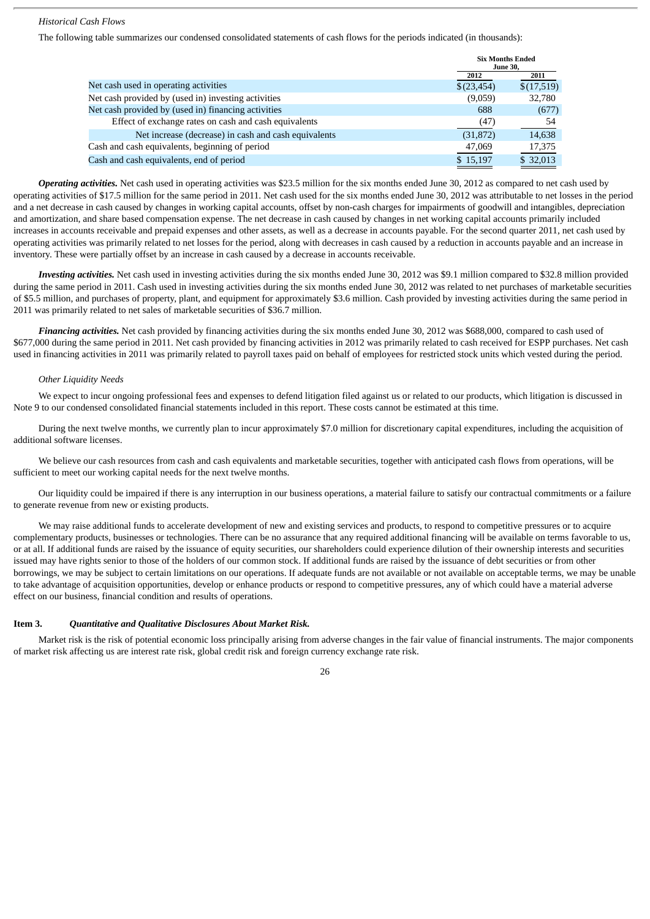# *Historical Cash Flows*

The following table summarizes our condensed consolidated statements of cash flows for the periods indicated (in thousands):

|                                                       | <b>Six Months Ended</b><br><b>June 30,</b> |            |  |
|-------------------------------------------------------|--------------------------------------------|------------|--|
|                                                       | 2012                                       | 2011       |  |
| Net cash used in operating activities                 | \$(23,454)                                 | \$(17,519) |  |
| Net cash provided by (used in) investing activities   | (9,059)                                    | 32,780     |  |
| Net cash provided by (used in) financing activities   | 688                                        | (677)      |  |
| Effect of exchange rates on cash and cash equivalents | (47                                        | 54         |  |
| Net increase (decrease) in cash and cash equivalents  | (31, 872)                                  | 14,638     |  |
| Cash and cash equivalents, beginning of period        | 47,069                                     | 17,375     |  |
| Cash and cash equivalents, end of period              | \$15,197                                   | \$32,013   |  |

*Operating activities.* Net cash used in operating activities was \$23.5 million for the six months ended June 30, 2012 as compared to net cash used by operating activities of \$17.5 million for the same period in 2011. Net cash used for the six months ended June 30, 2012 was attributable to net losses in the period and a net decrease in cash caused by changes in working capital accounts, offset by non-cash charges for impairments of goodwill and intangibles, depreciation and amortization, and share based compensation expense. The net decrease in cash caused by changes in net working capital accounts primarily included increases in accounts receivable and prepaid expenses and other assets, as well as a decrease in accounts payable. For the second quarter 2011, net cash used by operating activities was primarily related to net losses for the period, along with decreases in cash caused by a reduction in accounts payable and an increase in inventory. These were partially offset by an increase in cash caused by a decrease in accounts receivable.

*Investing activities.* Net cash used in investing activities during the six months ended June 30, 2012 was \$9.1 million compared to \$32.8 million provided during the same period in 2011. Cash used in investing activities during the six months ended June 30, 2012 was related to net purchases of marketable securities of \$5.5 million, and purchases of property, plant, and equipment for approximately \$3.6 million. Cash provided by investing activities during the same period in 2011 was primarily related to net sales of marketable securities of \$36.7 million.

*Financing activities.* Net cash provided by financing activities during the six months ended June 30, 2012 was \$688,000, compared to cash used of \$677,000 during the same period in 2011. Net cash provided by financing activities in 2012 was primarily related to cash received for ESPP purchases. Net cash used in financing activities in 2011 was primarily related to payroll taxes paid on behalf of employees for restricted stock units which vested during the period.

#### *Other Liquidity Needs*

We expect to incur ongoing professional fees and expenses to defend litigation filed against us or related to our products, which litigation is discussed in Note 9 to our condensed consolidated financial statements included in this report. These costs cannot be estimated at this time.

During the next twelve months, we currently plan to incur approximately \$7.0 million for discretionary capital expenditures, including the acquisition of additional software licenses.

We believe our cash resources from cash and cash equivalents and marketable securities, together with anticipated cash flows from operations, will be sufficient to meet our working capital needs for the next twelve months.

Our liquidity could be impaired if there is any interruption in our business operations, a material failure to satisfy our contractual commitments or a failure to generate revenue from new or existing products.

We may raise additional funds to accelerate development of new and existing services and products, to respond to competitive pressures or to acquire complementary products, businesses or technologies. There can be no assurance that any required additional financing will be available on terms favorable to us, or at all. If additional funds are raised by the issuance of equity securities, our shareholders could experience dilution of their ownership interests and securities issued may have rights senior to those of the holders of our common stock. If additional funds are raised by the issuance of debt securities or from other borrowings, we may be subject to certain limitations on our operations. If adequate funds are not available or not available on acceptable terms, we may be unable to take advantage of acquisition opportunities, develop or enhance products or respond to competitive pressures, any of which could have a material adverse effect on our business, financial condition and results of operations.

# **Item 3.** *Quantitative and Qualitative Disclosures About Market Risk.*

Market risk is the risk of potential economic loss principally arising from adverse changes in the fair value of financial instruments. The major components of market risk affecting us are interest rate risk, global credit risk and foreign currency exchange rate risk.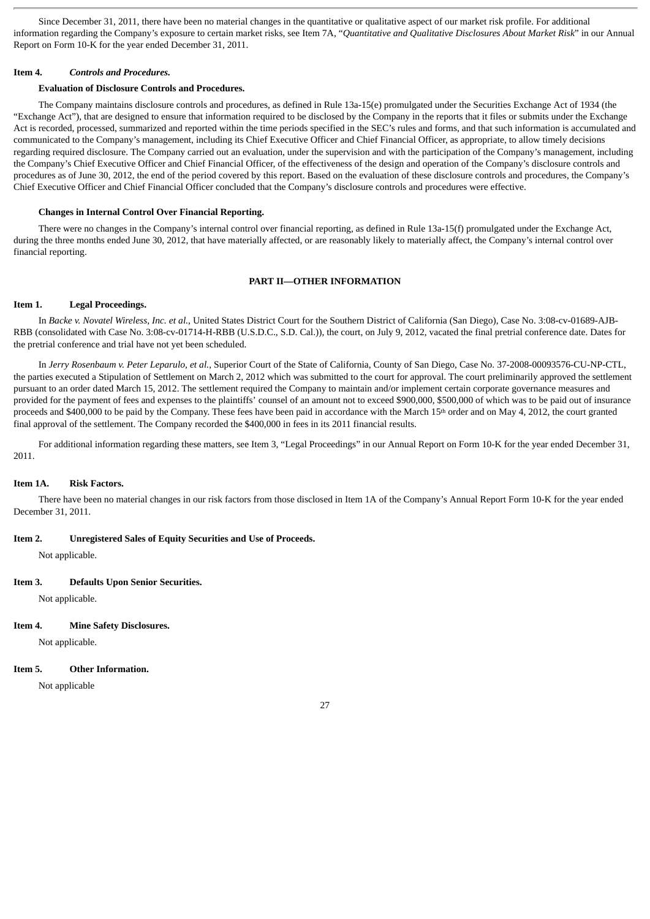Since December 31, 2011, there have been no material changes in the quantitative or qualitative aspect of our market risk profile. For additional information regarding the Company's exposure to certain market risks, see Item 7A, "*Quantitative and Qualitative Disclosures About Market Risk*" in our Annual Report on Form 10-K for the year ended December 31, 2011.

#### **Item 4.** *Controls and Procedures.*

# **Evaluation of Disclosure Controls and Procedures.**

The Company maintains disclosure controls and procedures, as defined in Rule 13a-15(e) promulgated under the Securities Exchange Act of 1934 (the "Exchange Act"), that are designed to ensure that information required to be disclosed by the Company in the reports that it files or submits under the Exchange Act is recorded, processed, summarized and reported within the time periods specified in the SEC's rules and forms, and that such information is accumulated and communicated to the Company's management, including its Chief Executive Officer and Chief Financial Officer, as appropriate, to allow timely decisions regarding required disclosure. The Company carried out an evaluation, under the supervision and with the participation of the Company's management, including the Company's Chief Executive Officer and Chief Financial Officer, of the effectiveness of the design and operation of the Company's disclosure controls and procedures as of June 30, 2012, the end of the period covered by this report. Based on the evaluation of these disclosure controls and procedures, the Company's Chief Executive Officer and Chief Financial Officer concluded that the Company's disclosure controls and procedures were effective.

# **Changes in Internal Control Over Financial Reporting.**

There were no changes in the Company's internal control over financial reporting, as defined in Rule 13a-15(f) promulgated under the Exchange Act, during the three months ended June 30, 2012, that have materially affected, or are reasonably likely to materially affect, the Company's internal control over financial reporting.

#### **PART II—OTHER INFORMATION**

# **Item 1. Legal Proceedings.**

In *Backe v. Novatel Wireless, Inc. et al.*, United States District Court for the Southern District of California (San Diego), Case No. 3:08-cv-01689-AJB-RBB (consolidated with Case No. 3:08-cv-01714-H-RBB (U.S.D.C., S.D. Cal.)), the court, on July 9, 2012, vacated the final pretrial conference date. Dates for the pretrial conference and trial have not yet been scheduled.

In *Jerry Rosenbaum v. Peter Leparulo, et al.*, Superior Court of the State of California, County of San Diego, Case No. 37-2008-00093576-CU-NP-CTL, the parties executed a Stipulation of Settlement on March 2, 2012 which was submitted to the court for approval. The court preliminarily approved the settlement pursuant to an order dated March 15, 2012. The settlement required the Company to maintain and/or implement certain corporate governance measures and provided for the payment of fees and expenses to the plaintiffs' counsel of an amount not to exceed \$900,000, \$500,000 of which was to be paid out of insurance proceeds and \$400,000 to be paid by the Company. These fees have been paid in accordance with the March 15<sup>th</sup> order and on May 4, 2012, the court granted final approval of the settlement. The Company recorded the \$400,000 in fees in its 2011 financial results.

For additional information regarding these matters, see Item 3, "Legal Proceedings" in our Annual Report on Form 10-K for the year ended December 31, 2011.

#### **Item 1A. Risk Factors.**

There have been no material changes in our risk factors from those disclosed in Item 1A of the Company's Annual Report Form 10-K for the year ended December 31, 2011.

#### **Item 2. Unregistered Sales of Equity Securities and Use of Proceeds.**

Not applicable.

#### **Item 3. Defaults Upon Senior Securities.**

Not applicable.

#### **Item 4. Mine Safety Disclosures.**

Not applicable.

#### **Item 5. Other Information.**

Not applicable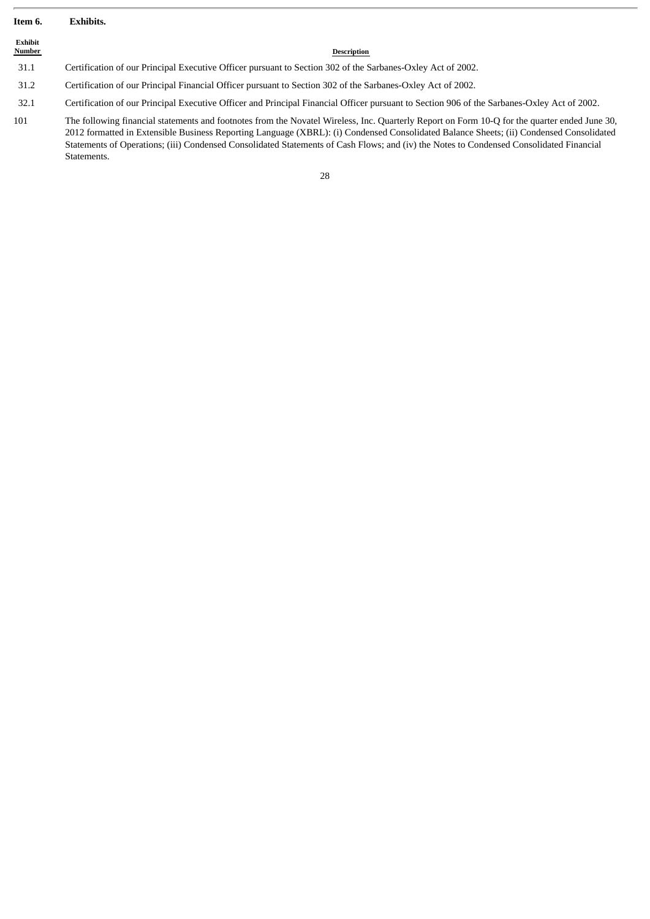| Item 6.                  | Exhibits.                                                                                                                                                                                                                                                                                                                                                                                                                           |
|--------------------------|-------------------------------------------------------------------------------------------------------------------------------------------------------------------------------------------------------------------------------------------------------------------------------------------------------------------------------------------------------------------------------------------------------------------------------------|
| Exhibit<br><b>Number</b> | <b>Description</b>                                                                                                                                                                                                                                                                                                                                                                                                                  |
| 31.1                     | Certification of our Principal Executive Officer pursuant to Section 302 of the Sarbanes-Oxley Act of 2002.                                                                                                                                                                                                                                                                                                                         |
| 31.2                     | Certification of our Principal Financial Officer pursuant to Section 302 of the Sarbanes-Oxley Act of 2002.                                                                                                                                                                                                                                                                                                                         |
| 32.1                     | Certification of our Principal Executive Officer and Principal Financial Officer pursuant to Section 906 of the Sarbanes-Oxley Act of 2002.                                                                                                                                                                                                                                                                                         |
| 101                      | The following financial statements and footnotes from the Novatel Wireless, Inc. Quarterly Report on Form 10-Q for the quarter ended June 30,<br>2012 formatted in Extensible Business Reporting Language (XBRL): (i) Condensed Consolidated Balance Sheets; (ii) Condensed Consolidated<br>Statements of Operations; (iii) Condensed Consolidated Statements of Cash Flows; and (iv) the Notes to Condensed Consolidated Financial |

Statements.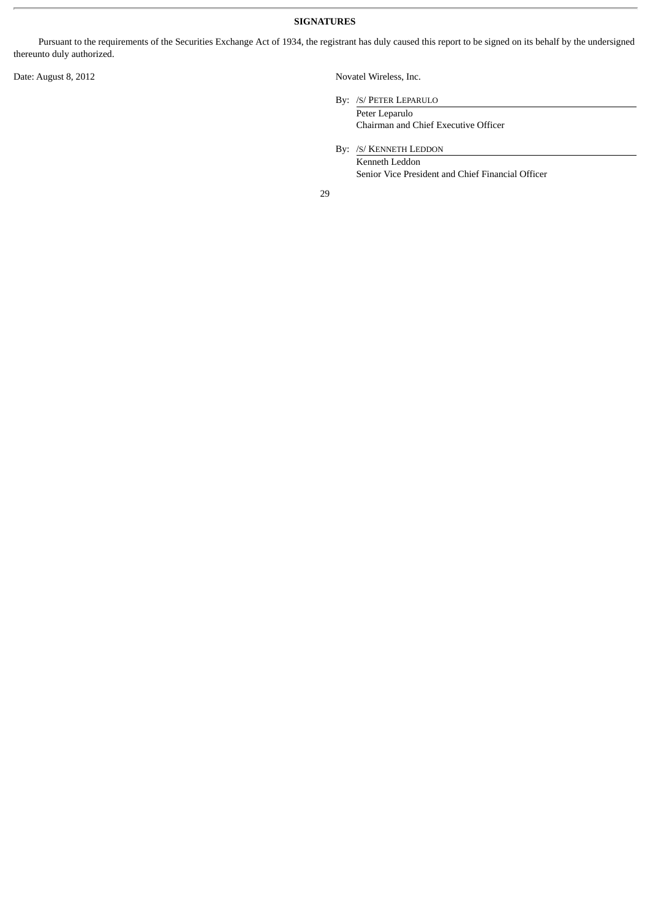# **SIGNATURES**

Pursuant to the requirements of the Securities Exchange Act of 1934, the registrant has duly caused this report to be signed on its behalf by the undersigned thereunto duly authorized.

Date: August 8, 2012 Novatel Wireless, Inc.

By: /S/ PETER LEPARULO

Peter Leparulo Chairman and Chief Executive Officer

By: /S/ KENNETH LEDDON Kenneth Leddon

Senior Vice President and Chief Financial Officer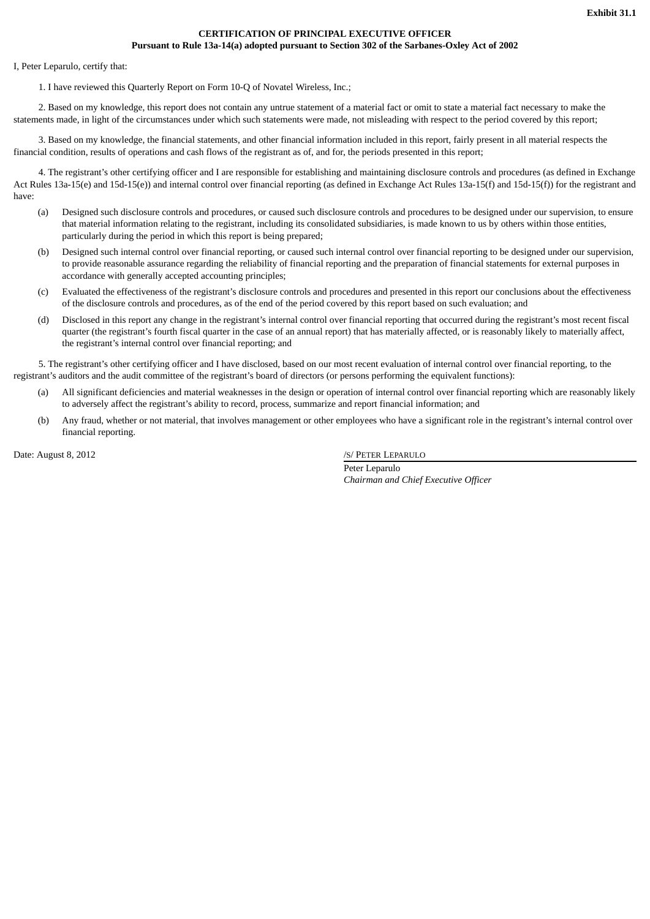# **CERTIFICATION OF PRINCIPAL EXECUTIVE OFFICER**

# **Pursuant to Rule 13a-14(a) adopted pursuant to Section 302 of the Sarbanes-Oxley Act of 2002**

I, Peter Leparulo, certify that:

1. I have reviewed this Quarterly Report on Form 10-Q of Novatel Wireless, Inc.;

2. Based on my knowledge, this report does not contain any untrue statement of a material fact or omit to state a material fact necessary to make the statements made, in light of the circumstances under which such statements were made, not misleading with respect to the period covered by this report;

3. Based on my knowledge, the financial statements, and other financial information included in this report, fairly present in all material respects the financial condition, results of operations and cash flows of the registrant as of, and for, the periods presented in this report;

4. The registrant's other certifying officer and I are responsible for establishing and maintaining disclosure controls and procedures (as defined in Exchange Act Rules 13a-15(e) and 15d-15(e)) and internal control over financial reporting (as defined in Exchange Act Rules 13a-15(f) and 15d-15(f)) for the registrant and have:

- (a) Designed such disclosure controls and procedures, or caused such disclosure controls and procedures to be designed under our supervision, to ensure that material information relating to the registrant, including its consolidated subsidiaries, is made known to us by others within those entities, particularly during the period in which this report is being prepared;
- (b) Designed such internal control over financial reporting, or caused such internal control over financial reporting to be designed under our supervision, to provide reasonable assurance regarding the reliability of financial reporting and the preparation of financial statements for external purposes in accordance with generally accepted accounting principles;
- (c) Evaluated the effectiveness of the registrant's disclosure controls and procedures and presented in this report our conclusions about the effectiveness of the disclosure controls and procedures, as of the end of the period covered by this report based on such evaluation; and
- (d) Disclosed in this report any change in the registrant's internal control over financial reporting that occurred during the registrant's most recent fiscal quarter (the registrant's fourth fiscal quarter in the case of an annual report) that has materially affected, or is reasonably likely to materially affect, the registrant's internal control over financial reporting; and

5. The registrant's other certifying officer and I have disclosed, based on our most recent evaluation of internal control over financial reporting, to the registrant's auditors and the audit committee of the registrant's board of directors (or persons performing the equivalent functions):

- (a) All significant deficiencies and material weaknesses in the design or operation of internal control over financial reporting which are reasonably likely to adversely affect the registrant's ability to record, process, summarize and report financial information; and
- (b) Any fraud, whether or not material, that involves management or other employees who have a significant role in the registrant's internal control over financial reporting.

Date: August 8, 2012 /S/ PETER LEPARULO

Peter Leparulo *Chairman and Chief Executive Officer*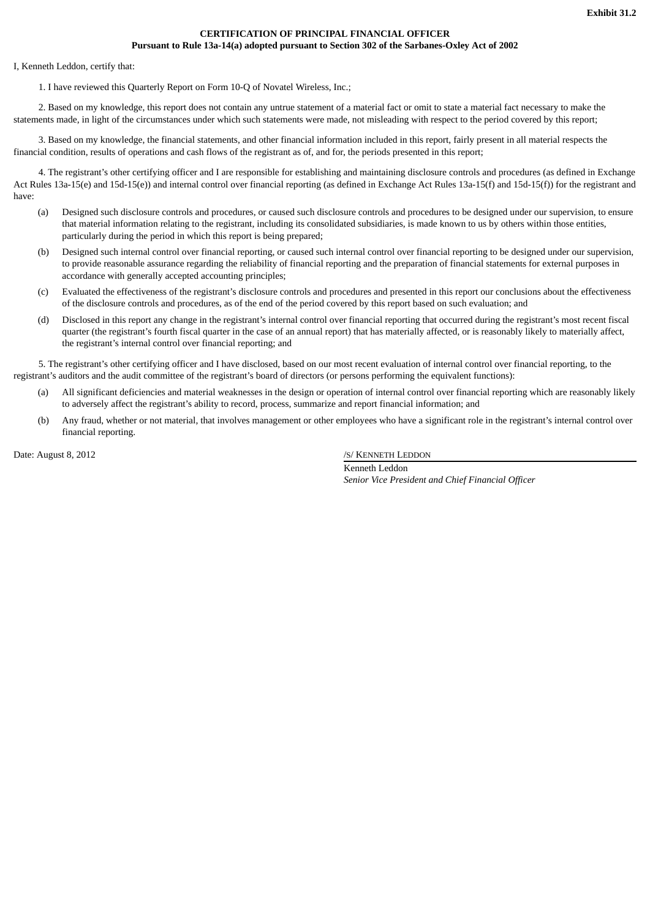# **CERTIFICATION OF PRINCIPAL FINANCIAL OFFICER**

# **Pursuant to Rule 13a-14(a) adopted pursuant to Section 302 of the Sarbanes-Oxley Act of 2002**

I, Kenneth Leddon, certify that:

1. I have reviewed this Quarterly Report on Form 10-Q of Novatel Wireless, Inc.;

2. Based on my knowledge, this report does not contain any untrue statement of a material fact or omit to state a material fact necessary to make the statements made, in light of the circumstances under which such statements were made, not misleading with respect to the period covered by this report;

3. Based on my knowledge, the financial statements, and other financial information included in this report, fairly present in all material respects the financial condition, results of operations and cash flows of the registrant as of, and for, the periods presented in this report;

4. The registrant's other certifying officer and I are responsible for establishing and maintaining disclosure controls and procedures (as defined in Exchange Act Rules 13a-15(e) and 15d-15(e)) and internal control over financial reporting (as defined in Exchange Act Rules 13a-15(f) and 15d-15(f)) for the registrant and have:

- (a) Designed such disclosure controls and procedures, or caused such disclosure controls and procedures to be designed under our supervision, to ensure that material information relating to the registrant, including its consolidated subsidiaries, is made known to us by others within those entities, particularly during the period in which this report is being prepared;
- (b) Designed such internal control over financial reporting, or caused such internal control over financial reporting to be designed under our supervision, to provide reasonable assurance regarding the reliability of financial reporting and the preparation of financial statements for external purposes in accordance with generally accepted accounting principles;
- (c) Evaluated the effectiveness of the registrant's disclosure controls and procedures and presented in this report our conclusions about the effectiveness of the disclosure controls and procedures, as of the end of the period covered by this report based on such evaluation; and
- (d) Disclosed in this report any change in the registrant's internal control over financial reporting that occurred during the registrant's most recent fiscal quarter (the registrant's fourth fiscal quarter in the case of an annual report) that has materially affected, or is reasonably likely to materially affect, the registrant's internal control over financial reporting; and

5. The registrant's other certifying officer and I have disclosed, based on our most recent evaluation of internal control over financial reporting, to the registrant's auditors and the audit committee of the registrant's board of directors (or persons performing the equivalent functions):

- (a) All significant deficiencies and material weaknesses in the design or operation of internal control over financial reporting which are reasonably likely to adversely affect the registrant's ability to record, process, summarize and report financial information; and
- (b) Any fraud, whether or not material, that involves management or other employees who have a significant role in the registrant's internal control over financial reporting.

Date: August 8, 2012 /S/ KENNETH LEDDON

Kenneth Leddon *Senior Vice President and Chief Financial Officer*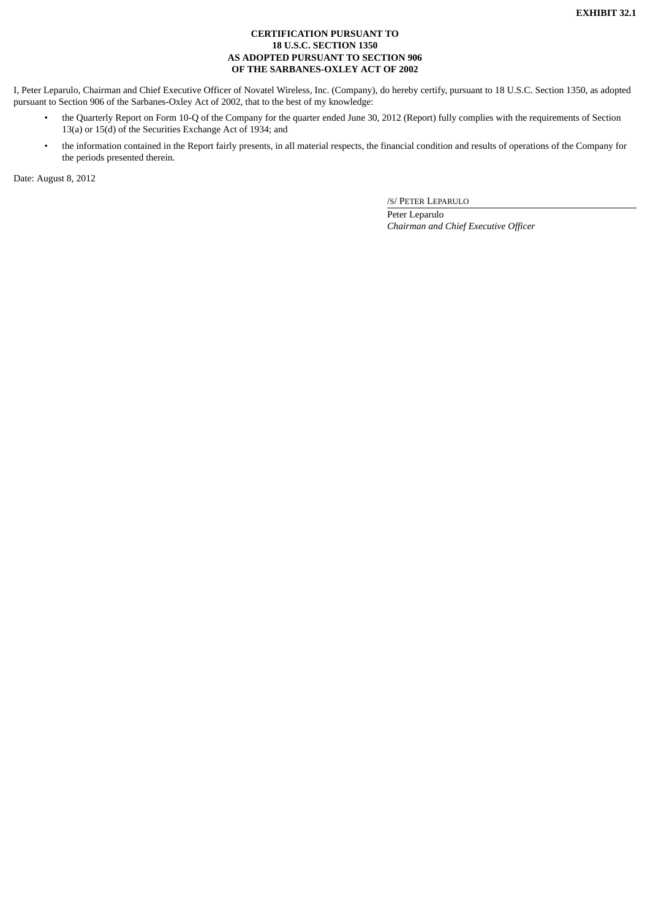# **CERTIFICATION PURSUANT TO 18 U.S.C. SECTION 1350 AS ADOPTED PURSUANT TO SECTION 906 OF THE SARBANES-OXLEY ACT OF 2002**

I, Peter Leparulo, Chairman and Chief Executive Officer of Novatel Wireless, Inc. (Company), do hereby certify, pursuant to 18 U.S.C. Section 1350, as adopted pursuant to Section 906 of the Sarbanes-Oxley Act of 2002, that to the best of my knowledge:

- the Quarterly Report on Form 10-Q of the Company for the quarter ended June 30, 2012 (Report) fully complies with the requirements of Section 13(a) or 15(d) of the Securities Exchange Act of 1934; and
- the information contained in the Report fairly presents, in all material respects, the financial condition and results of operations of the Company for the periods presented therein.

Date: August 8, 2012

/S/ PETER LEPARULO

Peter Leparulo *Chairman and Chief Executive Officer*